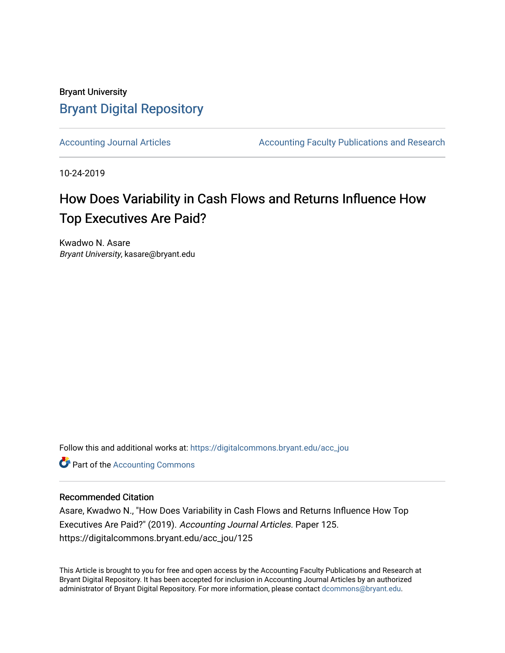## Bryant University [Bryant Digital Repository](https://digitalcommons.bryant.edu/)

[Accounting Journal Articles](https://digitalcommons.bryant.edu/acc_jou) **Accounting Faculty Publications and Research** Accounting Faculty Publications and Research

10-24-2019

# How Does Variability in Cash Flows and Returns Influence How Top Executives Are Paid?

Kwadwo N. Asare Bryant University, kasare@bryant.edu

Follow this and additional works at: [https://digitalcommons.bryant.edu/acc\\_jou](https://digitalcommons.bryant.edu/acc_jou?utm_source=digitalcommons.bryant.edu%2Facc_jou%2F125&utm_medium=PDF&utm_campaign=PDFCoverPages)

**Part of the [Accounting Commons](http://network.bepress.com/hgg/discipline/625?utm_source=digitalcommons.bryant.edu%2Facc_jou%2F125&utm_medium=PDF&utm_campaign=PDFCoverPages)** 

## Recommended Citation

Asare, Kwadwo N., "How Does Variability in Cash Flows and Returns Influence How Top Executives Are Paid?" (2019). Accounting Journal Articles. Paper 125. https://digitalcommons.bryant.edu/acc\_jou/125

This Article is brought to you for free and open access by the Accounting Faculty Publications and Research at Bryant Digital Repository. It has been accepted for inclusion in Accounting Journal Articles by an authorized administrator of Bryant Digital Repository. For more information, please contact [dcommons@bryant.edu](mailto:dcommons@bryant.edu).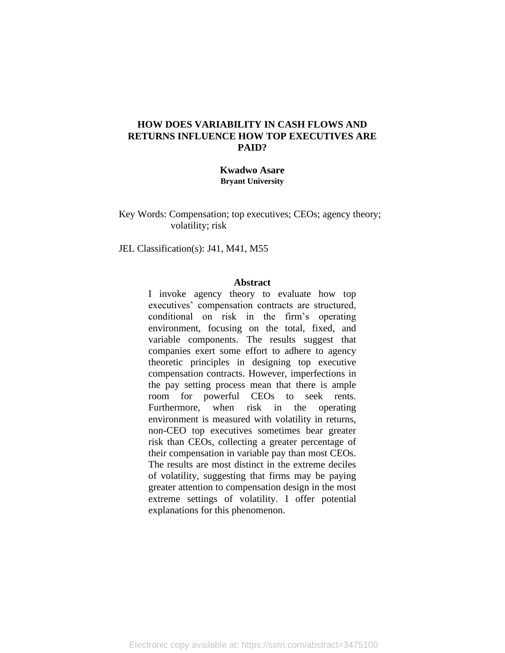### **HOW DOES VARIABILITY IN CASH FLOWS AND RETURNS INFLUENCE HOW TOP EXECUTIVES ARE PAID?**

#### **Kwadwo Asare Bryant University**

Key Words: Compensation; top executives; CEOs; agency theory; volatility; risk

JEL Classification(s): J41, M41, M55

#### **Abstract**

I invoke agency theory to evaluate how top executives' compensation contracts are structured, conditional on risk in the firm's operating environment, focusing on the total, fixed, and variable components. The results suggest that companies exert some effort to adhere to agency theoretic principles in designing top executive compensation contracts. However, imperfections in the pay setting process mean that there is ample room for powerful CEOs to seek rents. Furthermore, when risk in the operating environment is measured with volatility in returns, non-CEO top executives sometimes bear greater risk than CEOs, collecting a greater percentage of their compensation in variable pay than most CEOs. The results are most distinct in the extreme deciles of volatility, suggesting that firms may be paying greater attention to compensation design in the most extreme settings of volatility. I offer potential explanations for this phenomenon.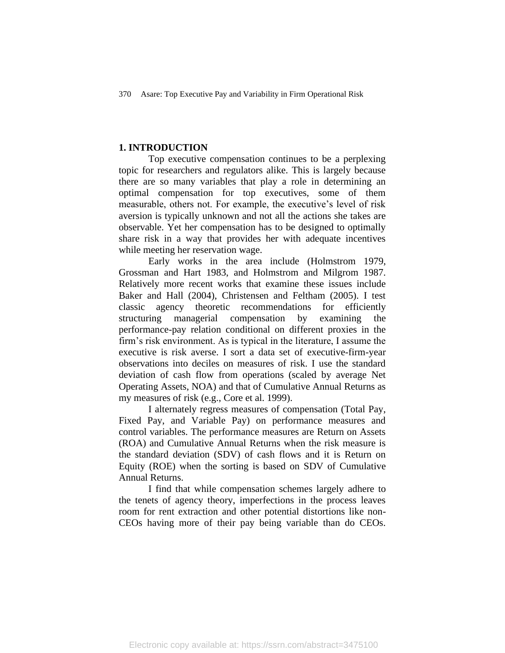#### **1. INTRODUCTION**

Top executive compensation continues to be a perplexing topic for researchers and regulators alike. This is largely because there are so many variables that play a role in determining an optimal compensation for top executives, some of them measurable, others not. For example, the executive's level of risk aversion is typically unknown and not all the actions she takes are observable. Yet her compensation has to be designed to optimally share risk in a way that provides her with adequate incentives while meeting her reservation wage.

Early works in the area include (Holmstrom 1979, Grossman and Hart 1983, and Holmstrom and Milgrom 1987. Relatively more recent works that examine these issues include Baker and Hall (2004), Christensen and Feltham (2005). I test classic agency theoretic recommendations for efficiently structuring managerial compensation by examining the performance-pay relation conditional on different proxies in the firm's risk environment. As is typical in the literature, I assume the executive is risk averse. I sort a data set of executive-firm-year observations into deciles on measures of risk. I use the standard deviation of cash flow from operations (scaled by average Net Operating Assets, NOA) and that of Cumulative Annual Returns as my measures of risk (e.g., Core et al. 1999).

I alternately regress measures of compensation (Total Pay, Fixed Pay, and Variable Pay) on performance measures and control variables. The performance measures are Return on Assets (ROA) and Cumulative Annual Returns when the risk measure is the standard deviation (SDV) of cash flows and it is Return on Equity (ROE) when the sorting is based on SDV of Cumulative Annual Returns.

I find that while compensation schemes largely adhere to the tenets of agency theory, imperfections in the process leaves room for rent extraction and other potential distortions like non-CEOs having more of their pay being variable than do CEOs.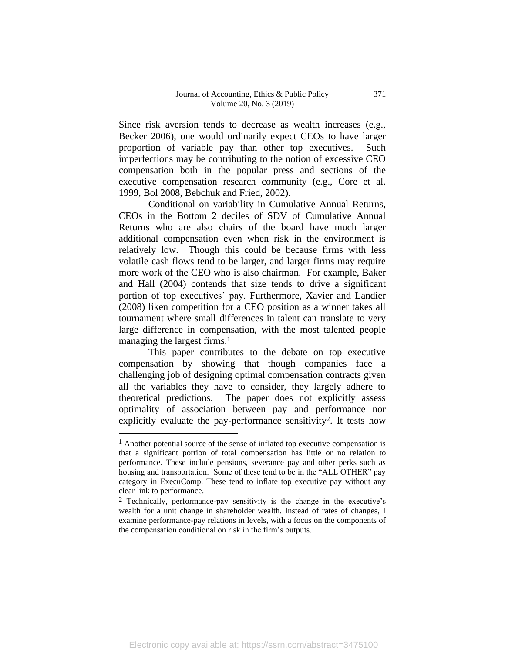Since risk aversion tends to decrease as wealth increases (e.g., Becker 2006), one would ordinarily expect CEOs to have larger proportion of variable pay than other top executives. Such imperfections may be contributing to the notion of excessive CEO compensation both in the popular press and sections of the executive compensation research community (e.g., Core et al. 1999, Bol 2008, Bebchuk and Fried, 2002).

Conditional on variability in Cumulative Annual Returns, CEOs in the Bottom 2 deciles of SDV of Cumulative Annual Returns who are also chairs of the board have much larger additional compensation even when risk in the environment is relatively low. Though this could be because firms with less volatile cash flows tend to be larger, and larger firms may require more work of the CEO who is also chairman. For example, Baker and Hall (2004) contends that size tends to drive a significant portion of top executives' pay. Furthermore, Xavier and Landier (2008) liken competition for a CEO position as a winner takes all tournament where small differences in talent can translate to very large difference in compensation, with the most talented people managing the largest firms.<sup>1</sup>

This paper contributes to the debate on top executive compensation by showing that though companies face a challenging job of designing optimal compensation contracts given all the variables they have to consider, they largely adhere to theoretical predictions. The paper does not explicitly assess optimality of association between pay and performance nor explicitly evaluate the pay-performance sensitivity2. It tests how

<sup>&</sup>lt;sup>1</sup> Another potential source of the sense of inflated top executive compensation is that a significant portion of total compensation has little or no relation to performance. These include pensions, severance pay and other perks such as housing and transportation. Some of these tend to be in the "ALL OTHER" pay category in ExecuComp. These tend to inflate top executive pay without any clear link to performance.

<sup>2</sup> Technically, performance-pay sensitivity is the change in the executive's wealth for a unit change in shareholder wealth. Instead of rates of changes, I examine performance-pay relations in levels, with a focus on the components of the compensation conditional on risk in the firm's outputs.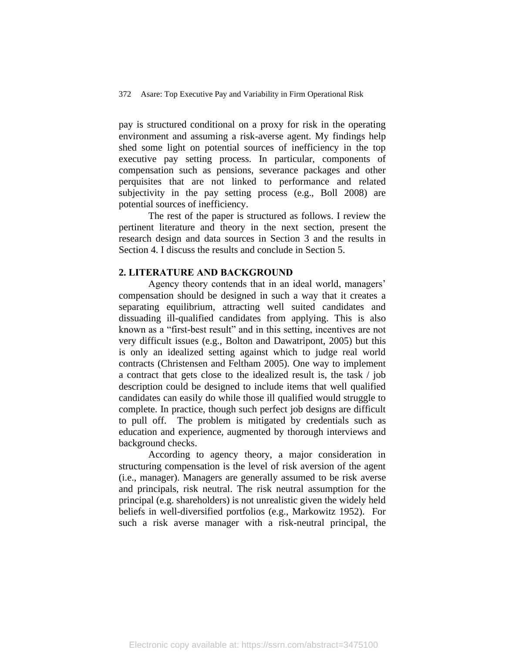pay is structured conditional on a proxy for risk in the operating environment and assuming a risk-averse agent. My findings help shed some light on potential sources of inefficiency in the top executive pay setting process. In particular, components of compensation such as pensions, severance packages and other perquisites that are not linked to performance and related subjectivity in the pay setting process (e.g., Boll 2008) are potential sources of inefficiency.

The rest of the paper is structured as follows. I review the pertinent literature and theory in the next section, present the research design and data sources in Section 3 and the results in Section 4. I discuss the results and conclude in Section 5.

#### **2. LITERATURE AND BACKGROUND**

Agency theory contends that in an ideal world, managers' compensation should be designed in such a way that it creates a separating equilibrium, attracting well suited candidates and dissuading ill-qualified candidates from applying. This is also known as a "first-best result" and in this setting, incentives are not very difficult issues (e.g., Bolton and Dawatripont, 2005) but this is only an idealized setting against which to judge real world contracts (Christensen and Feltham 2005). One way to implement a contract that gets close to the idealized result is, the task / job description could be designed to include items that well qualified candidates can easily do while those ill qualified would struggle to complete. In practice, though such perfect job designs are difficult to pull off. The problem is mitigated by credentials such as education and experience, augmented by thorough interviews and background checks.

According to agency theory, a major consideration in structuring compensation is the level of risk aversion of the agent (i.e., manager). Managers are generally assumed to be risk averse and principals, risk neutral. The risk neutral assumption for the principal (e.g. shareholders) is not unrealistic given the widely held beliefs in well-diversified portfolios (e.g., Markowitz 1952). For such a risk averse manager with a risk-neutral principal, the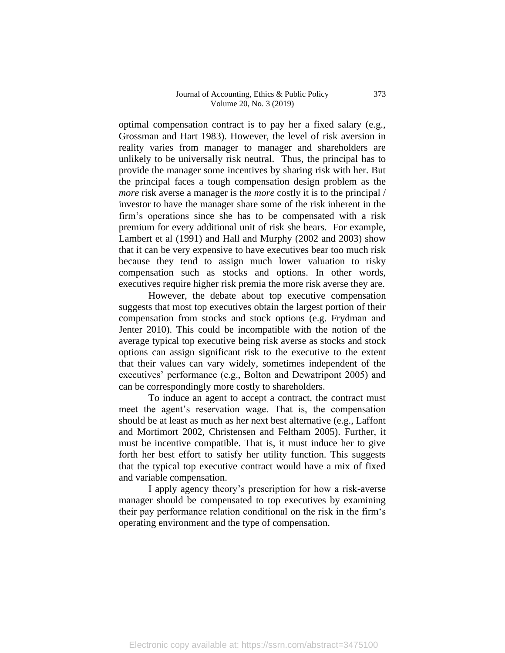#### Journal of Accounting, Ethics & Public Policy Volume 20, No. 3 (2019)

optimal compensation contract is to pay her a fixed salary (e.g., Grossman and Hart 1983). However, the level of risk aversion in reality varies from manager to manager and shareholders are unlikely to be universally risk neutral. Thus, the principal has to provide the manager some incentives by sharing risk with her. But the principal faces a tough compensation design problem as the *more* risk averse a manager is the *more* costly it is to the principal / investor to have the manager share some of the risk inherent in the firm's operations since she has to be compensated with a risk premium for every additional unit of risk she bears. For example, Lambert et al (1991) and Hall and Murphy (2002 and 2003) show that it can be very expensive to have executives bear too much risk because they tend to assign much lower valuation to risky compensation such as stocks and options. In other words, executives require higher risk premia the more risk averse they are.

However, the debate about top executive compensation suggests that most top executives obtain the largest portion of their compensation from stocks and stock options (e.g. Frydman and Jenter 2010). This could be incompatible with the notion of the average typical top executive being risk averse as stocks and stock options can assign significant risk to the executive to the extent that their values can vary widely, sometimes independent of the executives' performance (e.g., Bolton and Dewatripont 2005) and can be correspondingly more costly to shareholders.

To induce an agent to accept a contract, the contract must meet the agent's reservation wage. That is, the compensation should be at least as much as her next best alternative (e.g., Laffont and Mortimort 2002, Christensen and Feltham 2005). Further, it must be incentive compatible. That is, it must induce her to give forth her best effort to satisfy her utility function. This suggests that the typical top executive contract would have a mix of fixed and variable compensation.

I apply agency theory's prescription for how a risk-averse manager should be compensated to top executives by examining their pay performance relation conditional on the risk in the firm's operating environment and the type of compensation.

373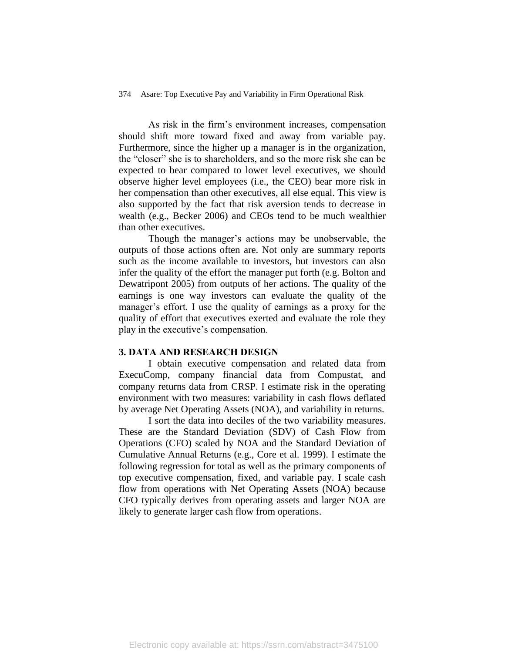As risk in the firm's environment increases, compensation should shift more toward fixed and away from variable pay. Furthermore, since the higher up a manager is in the organization, the "closer" she is to shareholders, and so the more risk she can be expected to bear compared to lower level executives, we should observe higher level employees (i.e., the CEO) bear more risk in her compensation than other executives, all else equal. This view is also supported by the fact that risk aversion tends to decrease in wealth (e.g., Becker 2006) and CEOs tend to be much wealthier than other executives.

Though the manager's actions may be unobservable, the outputs of those actions often are. Not only are summary reports such as the income available to investors, but investors can also infer the quality of the effort the manager put forth (e.g. Bolton and Dewatripont 2005) from outputs of her actions. The quality of the earnings is one way investors can evaluate the quality of the manager's effort. I use the quality of earnings as a proxy for the quality of effort that executives exerted and evaluate the role they play in the executive's compensation.

#### **3. DATA AND RESEARCH DESIGN**

I obtain executive compensation and related data from ExecuComp, company financial data from Compustat, and company returns data from CRSP. I estimate risk in the operating environment with two measures: variability in cash flows deflated by average Net Operating Assets (NOA), and variability in returns.

I sort the data into deciles of the two variability measures. These are the Standard Deviation (SDV) of Cash Flow from Operations (CFO) scaled by NOA and the Standard Deviation of Cumulative Annual Returns (e.g., Core et al. 1999). I estimate the following regression for total as well as the primary components of top executive compensation, fixed, and variable pay. I scale cash flow from operations with Net Operating Assets (NOA) because CFO typically derives from operating assets and larger NOA are likely to generate larger cash flow from operations.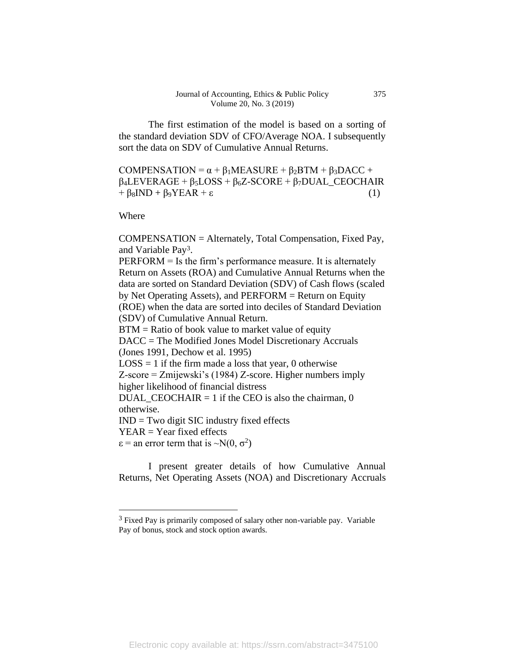The first estimation of the model is based on a sorting of the standard deviation SDV of CFO/Average NOA. I subsequently sort the data on SDV of Cumulative Annual Returns.

COMPENSATION =  $\alpha + \beta_1$ MEASURE +  $\beta_2$ BTM +  $\beta_3$ DACC + β4LEVERAGE + β5LOSS + β6Z-SCORE + β7DUAL\_CEOCHAIR  $+ \beta_8 \text{IND} + \beta_9 \text{YEAR} + \varepsilon$  (1)

Where

COMPENSATION = Alternately, Total Compensation, Fixed Pay, and Variable Pay3.

PERFORM = Is the firm's performance measure. It is alternately Return on Assets (ROA) and Cumulative Annual Returns when the data are sorted on Standard Deviation (SDV) of Cash flows (scaled by Net Operating Assets), and PERFORM = Return on Equity (ROE) when the data are sorted into deciles of Standard Deviation (SDV) of Cumulative Annual Return. BTM = Ratio of book value to market value of equity DACC = The Modified Jones Model Discretionary Accruals (Jones 1991, Dechow et al. 1995)  $LOSS = 1$  if the firm made a loss that year, 0 otherwise Z-score = Zmijewski's (1984) Z-score. Higher numbers imply higher likelihood of financial distress DUAL\_CEOCHAIR = 1 if the CEO is also the chairman,  $0$ otherwise.  $IND = Two$  digit  $SIC$  industry fixed effects  $YEAR = Year fixed effects$ 

 $\varepsilon$  = an error term that is  $\sim N(0, \sigma^2)$ 

I present greater details of how Cumulative Annual Returns, Net Operating Assets (NOA) and Discretionary Accruals

375

<sup>&</sup>lt;sup>3</sup> Fixed Pay is primarily composed of salary other non-variable pay. Variable Pay of bonus, stock and stock option awards.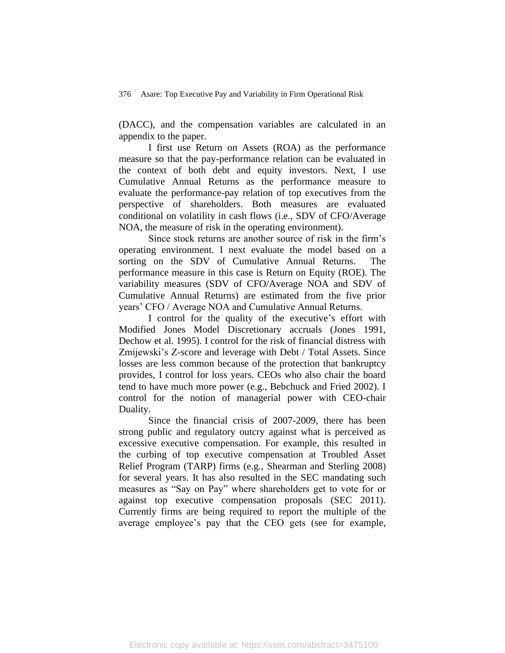(DACC), and the compensation variables are calculated in an appendix to the paper.

I first use Return on Assets (ROA) as the performance measure so that the pay-performance relation can be evaluated in the context of both debt and equity investors. Next, I use Cumulative Annual Returns as the performance measure to evaluate the performance-pay relation of top executives from the perspective of shareholders. Both measures are evaluated conditional on volatility in cash flows (i.e., SDV of CFO/Average NOA, the measure of risk in the operating environment).

Since stock returns are another source of risk in the firm's operating environment. I next evaluate the model based on a sorting on the SDV of Cumulative Annual Returns. The performance measure in this case is Return on Equity (ROE). The variability measures (SDV of CFO/Average NOA and SDV of Cumulative Annual Returns) are estimated from the five prior years' CFO / Average NOA and Cumulative Annual Returns.

I control for the quality of the executive's effort with Modified Jones Model Discretionary accruals (Jones 1991, Dechow et al. 1995). I control for the risk of financial distress with Zmijewski's Z-score and leverage with Debt / Total Assets. Since losses are less common because of the protection that bankruptcy provides, I control for loss years. CEOs who also chair the board tend to have much more power (e.g., Bebchuck and Fried 2002). I control for the notion of managerial power with CEO-chair Duality.

Since the financial crisis of 2007-2009, there has been strong public and regulatory outcry against what is perceived as excessive executive compensation. For example, this resulted in the curbing of top executive compensation at Troubled Asset Relief Program (TARP) firms (e.g., Shearman and Sterling 2008) for several years. It has also resulted in the SEC mandating such measures as "Say on Pay" where shareholders get to vote for or against top executive compensation proposals (SEC 2011). Currently firms are being required to report the multiple of the average employee's pay that the CEO gets (see for example,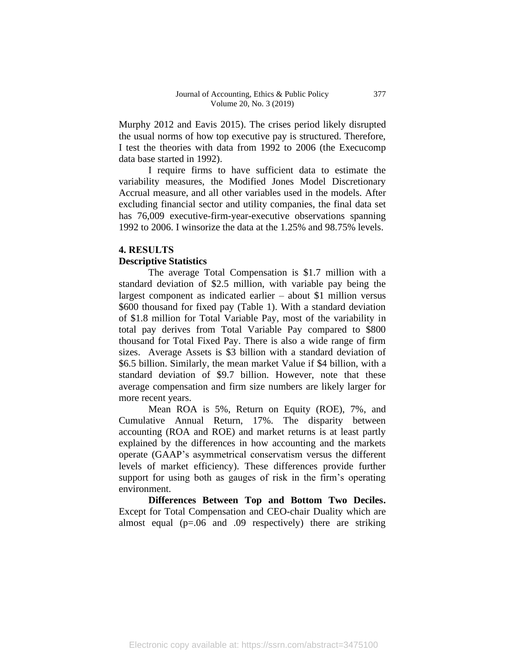Murphy 2012 and Eavis 2015). The crises period likely disrupted the usual norms of how top executive pay is structured. Therefore, I test the theories with data from 1992 to 2006 (the Execucomp data base started in 1992).

I require firms to have sufficient data to estimate the variability measures, the Modified Jones Model Discretionary Accrual measure, and all other variables used in the models. After excluding financial sector and utility companies, the final data set has 76,009 executive-firm-year-executive observations spanning 1992 to 2006. I winsorize the data at the 1.25% and 98.75% levels.

## **4. RESULTS Descriptive Statistics**

The average Total Compensation is \$1.7 million with a standard deviation of \$2.5 million, with variable pay being the largest component as indicated earlier – about \$1 million versus \$600 thousand for fixed pay (Table 1). With a standard deviation of \$1.8 million for Total Variable Pay, most of the variability in total pay derives from Total Variable Pay compared to \$800 thousand for Total Fixed Pay. There is also a wide range of firm sizes. Average Assets is \$3 billion with a standard deviation of \$6.5 billion. Similarly, the mean market Value if \$4 billion, with a standard deviation of \$9.7 billion. However, note that these average compensation and firm size numbers are likely larger for more recent years.

Mean ROA is 5%, Return on Equity (ROE), 7%, and Cumulative Annual Return, 17%. The disparity between accounting (ROA and ROE) and market returns is at least partly explained by the differences in how accounting and the markets operate (GAAP's asymmetrical conservatism versus the different levels of market efficiency). These differences provide further support for using both as gauges of risk in the firm's operating environment.

**Differences Between Top and Bottom Two Deciles.**  Except for Total Compensation and CEO-chair Duality which are almost equal ( $p=0.06$  and 0.09 respectively) there are striking

377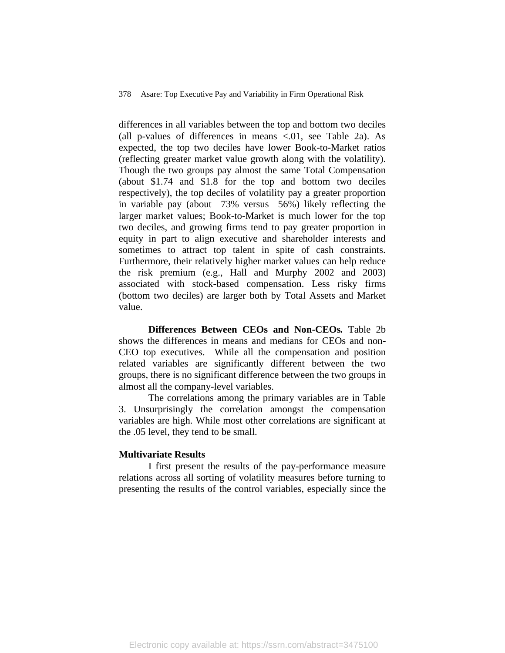differences in all variables between the top and bottom two deciles (all p-values of differences in means  $\langle .01, \rangle$  see Table 2a). As expected, the top two deciles have lower Book-to-Market ratios (reflecting greater market value growth along with the volatility). Though the two groups pay almost the same Total Compensation (about \$1.74 and \$1.8 for the top and bottom two deciles respectively), the top deciles of volatility pay a greater proportion in variable pay (about 73% versus 56%) likely reflecting the larger market values; Book-to-Market is much lower for the top two deciles, and growing firms tend to pay greater proportion in equity in part to align executive and shareholder interests and sometimes to attract top talent in spite of cash constraints. Furthermore, their relatively higher market values can help reduce the risk premium (e.g., Hall and Murphy 2002 and 2003) associated with stock-based compensation. Less risky firms (bottom two deciles) are larger both by Total Assets and Market value.

**Differences Between CEOs and Non-CEOs***.* Table 2b shows the differences in means and medians for CEOs and non-CEO top executives. While all the compensation and position related variables are significantly different between the two groups, there is no significant difference between the two groups in almost all the company-level variables.

The correlations among the primary variables are in Table 3. Unsurprisingly the correlation amongst the compensation variables are high. While most other correlations are significant at the .05 level, they tend to be small.

#### **Multivariate Results**

I first present the results of the pay-performance measure relations across all sorting of volatility measures before turning to presenting the results of the control variables, especially since the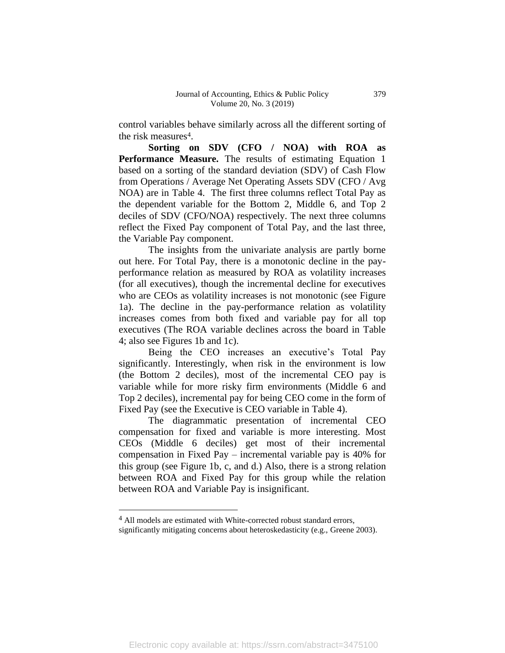control variables behave similarly across all the different sorting of the risk measures<sup>4</sup>.

**Sorting on SDV (CFO / NOA) with ROA as Performance Measure.** The results of estimating Equation 1 based on a sorting of the standard deviation (SDV) of Cash Flow from Operations / Average Net Operating Assets SDV (CFO / Avg NOA) are in Table 4. The first three columns reflect Total Pay as the dependent variable for the Bottom 2, Middle 6, and Top 2 deciles of SDV (CFO/NOA) respectively. The next three columns reflect the Fixed Pay component of Total Pay, and the last three, the Variable Pay component.

The insights from the univariate analysis are partly borne out here. For Total Pay, there is a monotonic decline in the payperformance relation as measured by ROA as volatility increases (for all executives), though the incremental decline for executives who are CEOs as volatility increases is not monotonic (see Figure 1a). The decline in the pay-performance relation as volatility increases comes from both fixed and variable pay for all top executives (The ROA variable declines across the board in Table 4; also see Figures 1b and 1c).

Being the CEO increases an executive's Total Pay significantly. Interestingly, when risk in the environment is low (the Bottom 2 deciles), most of the incremental CEO pay is variable while for more risky firm environments (Middle 6 and Top 2 deciles), incremental pay for being CEO come in the form of Fixed Pay (see the Executive is CEO variable in Table 4).

The diagrammatic presentation of incremental CEO compensation for fixed and variable is more interesting. Most CEOs (Middle 6 deciles) get most of their incremental compensation in Fixed Pay – incremental variable pay is 40% for this group (see Figure 1b, c, and d.) Also, there is a strong relation between ROA and Fixed Pay for this group while the relation between ROA and Variable Pay is insignificant.

<sup>&</sup>lt;sup>4</sup> All models are estimated with White-corrected robust standard errors,

significantly mitigating concerns about heteroskedasticity (e.g., Greene 2003).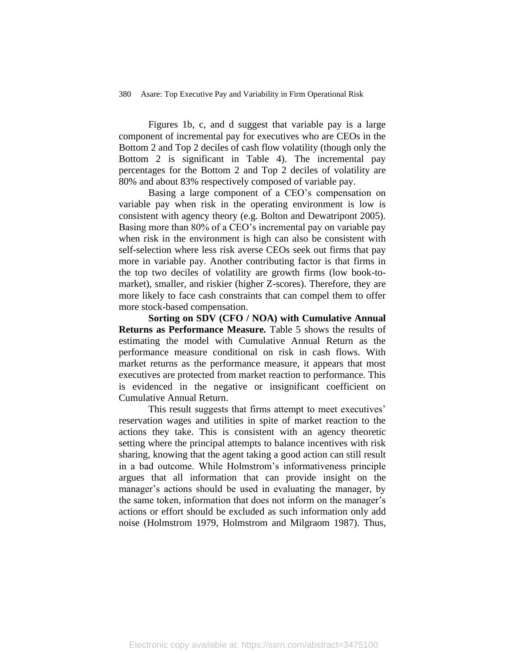Figures 1b, c, and d suggest that variable pay is a large component of incremental pay for executives who are CEOs in the Bottom 2 and Top 2 deciles of cash flow volatility (though only the Bottom 2 is significant in Table 4). The incremental pay percentages for the Bottom 2 and Top 2 deciles of volatility are 80% and about 83% respectively composed of variable pay.

Basing a large component of a CEO's compensation on variable pay when risk in the operating environment is low is consistent with agency theory (e.g. Bolton and Dewatripont 2005). Basing more than 80% of a CEO's incremental pay on variable pay when risk in the environment is high can also be consistent with self-selection where less risk averse CEOs seek out firms that pay more in variable pay. Another contributing factor is that firms in the top two deciles of volatility are growth firms (low book-tomarket), smaller, and riskier (higher Z-scores). Therefore, they are more likely to face cash constraints that can compel them to offer more stock-based compensation.

**Sorting on SDV (CFO / NOA) with Cumulative Annual Returns as Performance Measure***.* Table 5 shows the results of estimating the model with Cumulative Annual Return as the performance measure conditional on risk in cash flows. With market returns as the performance measure, it appears that most executives are protected from market reaction to performance. This is evidenced in the negative or insignificant coefficient on Cumulative Annual Return.

This result suggests that firms attempt to meet executives' reservation wages and utilities in spite of market reaction to the actions they take. This is consistent with an agency theoretic setting where the principal attempts to balance incentives with risk sharing, knowing that the agent taking a good action can still result in a bad outcome. While Holmstrom's informativeness principle argues that all information that can provide insight on the manager's actions should be used in evaluating the manager, by the same token, information that does not inform on the manager's actions or effort should be excluded as such information only add noise (Holmstrom 1979, Holmstrom and Milgraom 1987). Thus,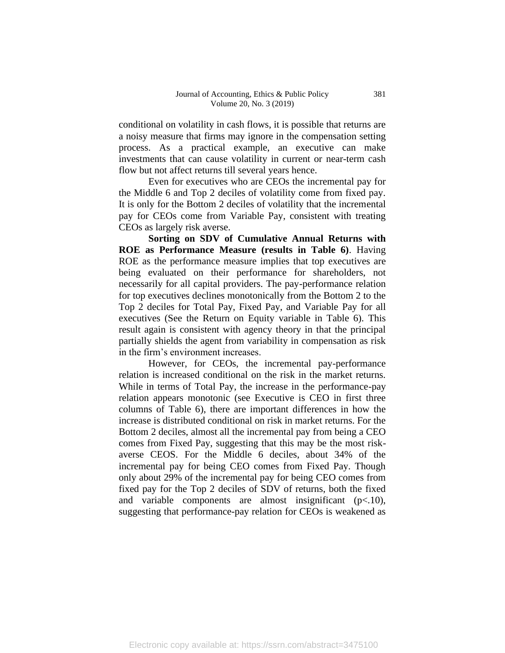conditional on volatility in cash flows, it is possible that returns are a noisy measure that firms may ignore in the compensation setting process. As a practical example, an executive can make investments that can cause volatility in current or near-term cash flow but not affect returns till several years hence.

Even for executives who are CEOs the incremental pay for the Middle 6 and Top 2 deciles of volatility come from fixed pay. It is only for the Bottom 2 deciles of volatility that the incremental pay for CEOs come from Variable Pay, consistent with treating CEOs as largely risk averse.

**Sorting on SDV of Cumulative Annual Returns with ROE as Performance Measure (results in Table 6)**. Having ROE as the performance measure implies that top executives are being evaluated on their performance for shareholders, not necessarily for all capital providers. The pay-performance relation for top executives declines monotonically from the Bottom 2 to the Top 2 deciles for Total Pay, Fixed Pay, and Variable Pay for all executives (See the Return on Equity variable in Table 6). This result again is consistent with agency theory in that the principal partially shields the agent from variability in compensation as risk in the firm's environment increases.

However, for CEOs, the incremental pay-performance relation is increased conditional on the risk in the market returns. While in terms of Total Pay, the increase in the performance-pay relation appears monotonic (see Executive is CEO in first three columns of Table 6), there are important differences in how the increase is distributed conditional on risk in market returns. For the Bottom 2 deciles, almost all the incremental pay from being a CEO comes from Fixed Pay, suggesting that this may be the most riskaverse CEOS. For the Middle 6 deciles, about 34% of the incremental pay for being CEO comes from Fixed Pay. Though only about 29% of the incremental pay for being CEO comes from fixed pay for the Top 2 deciles of SDV of returns, both the fixed and variable components are almost insignificant (p<.10), suggesting that performance-pay relation for CEOs is weakened as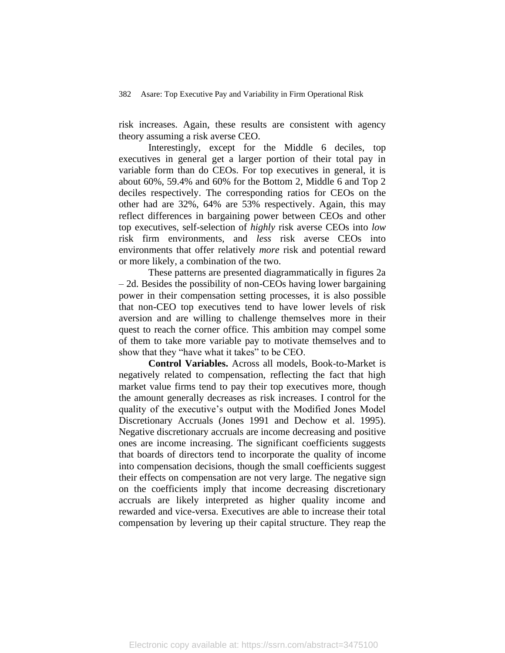risk increases. Again, these results are consistent with agency theory assuming a risk averse CEO.

Interestingly, except for the Middle 6 deciles, top executives in general get a larger portion of their total pay in variable form than do CEOs. For top executives in general, it is about 60%, 59.4% and 60% for the Bottom 2, Middle 6 and Top 2 deciles respectively. The corresponding ratios for CEOs on the other had are 32%, 64% are 53% respectively. Again, this may reflect differences in bargaining power between CEOs and other top executives, self-selection of *highly* risk averse CEOs into *low* risk firm environments, and *less* risk averse CEOs into environments that offer relatively *more* risk and potential reward or more likely, a combination of the two.

These patterns are presented diagrammatically in figures 2a – 2d. Besides the possibility of non-CEOs having lower bargaining power in their compensation setting processes, it is also possible that non-CEO top executives tend to have lower levels of risk aversion and are willing to challenge themselves more in their quest to reach the corner office. This ambition may compel some of them to take more variable pay to motivate themselves and to show that they "have what it takes" to be CEO.

**Control Variables.** Across all models, Book-to-Market is negatively related to compensation, reflecting the fact that high market value firms tend to pay their top executives more, though the amount generally decreases as risk increases. I control for the quality of the executive's output with the Modified Jones Model Discretionary Accruals (Jones 1991 and Dechow et al. 1995). Negative discretionary accruals are income decreasing and positive ones are income increasing. The significant coefficients suggests that boards of directors tend to incorporate the quality of income into compensation decisions, though the small coefficients suggest their effects on compensation are not very large. The negative sign on the coefficients imply that income decreasing discretionary accruals are likely interpreted as higher quality income and rewarded and vice-versa. Executives are able to increase their total compensation by levering up their capital structure. They reap the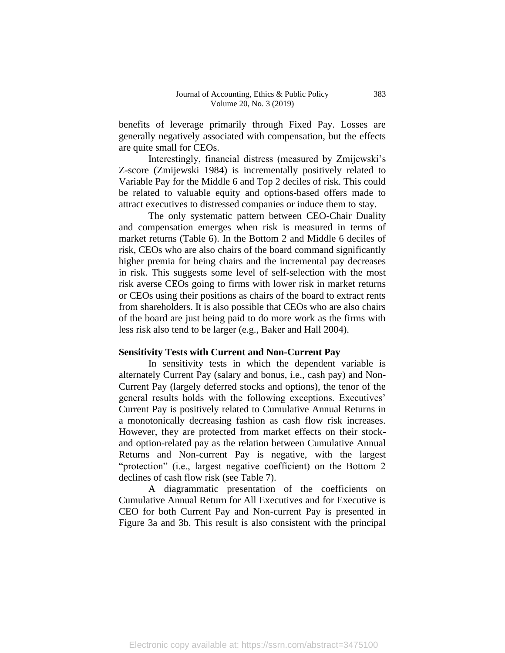benefits of leverage primarily through Fixed Pay. Losses are generally negatively associated with compensation, but the effects are quite small for CEOs.

Interestingly, financial distress (measured by Zmijewski's Z-score (Zmijewski 1984) is incrementally positively related to Variable Pay for the Middle 6 and Top 2 deciles of risk. This could be related to valuable equity and options-based offers made to attract executives to distressed companies or induce them to stay.

The only systematic pattern between CEO-Chair Duality and compensation emerges when risk is measured in terms of market returns (Table 6). In the Bottom 2 and Middle 6 deciles of risk, CEOs who are also chairs of the board command significantly higher premia for being chairs and the incremental pay decreases in risk. This suggests some level of self-selection with the most risk averse CEOs going to firms with lower risk in market returns or CEOs using their positions as chairs of the board to extract rents from shareholders. It is also possible that CEOs who are also chairs of the board are just being paid to do more work as the firms with less risk also tend to be larger (e.g., Baker and Hall 2004).

#### **Sensitivity Tests with Current and Non-Current Pay**

In sensitivity tests in which the dependent variable is alternately Current Pay (salary and bonus, i.e., cash pay) and Non-Current Pay (largely deferred stocks and options), the tenor of the general results holds with the following exceptions. Executives' Current Pay is positively related to Cumulative Annual Returns in a monotonically decreasing fashion as cash flow risk increases. However, they are protected from market effects on their stockand option-related pay as the relation between Cumulative Annual Returns and Non-current Pay is negative, with the largest "protection" (i.e., largest negative coefficient) on the Bottom 2 declines of cash flow risk (see Table 7).

A diagrammatic presentation of the coefficients on Cumulative Annual Return for All Executives and for Executive is CEO for both Current Pay and Non-current Pay is presented in Figure 3a and 3b. This result is also consistent with the principal

383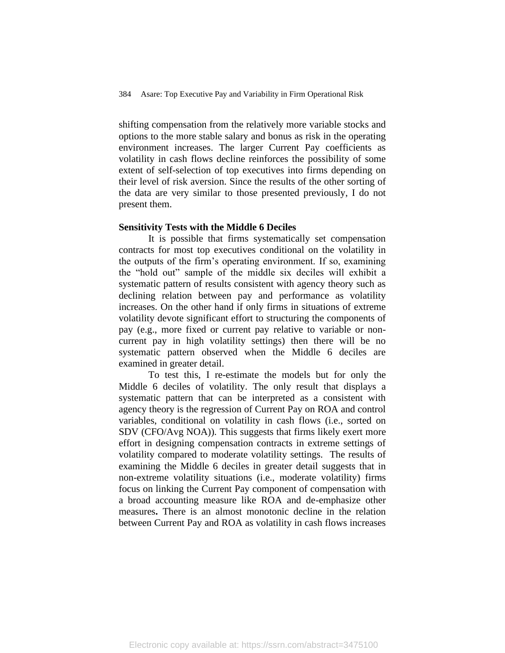shifting compensation from the relatively more variable stocks and options to the more stable salary and bonus as risk in the operating environment increases. The larger Current Pay coefficients as volatility in cash flows decline reinforces the possibility of some extent of self-selection of top executives into firms depending on their level of risk aversion. Since the results of the other sorting of the data are very similar to those presented previously, I do not present them.

#### **Sensitivity Tests with the Middle 6 Deciles**

It is possible that firms systematically set compensation contracts for most top executives conditional on the volatility in the outputs of the firm's operating environment. If so, examining the "hold out" sample of the middle six deciles will exhibit a systematic pattern of results consistent with agency theory such as declining relation between pay and performance as volatility increases. On the other hand if only firms in situations of extreme volatility devote significant effort to structuring the components of pay (e.g., more fixed or current pay relative to variable or noncurrent pay in high volatility settings) then there will be no systematic pattern observed when the Middle 6 deciles are examined in greater detail.

To test this, I re-estimate the models but for only the Middle 6 deciles of volatility. The only result that displays a systematic pattern that can be interpreted as a consistent with agency theory is the regression of Current Pay on ROA and control variables, conditional on volatility in cash flows (i.e., sorted on SDV (CFO/Avg NOA)). This suggests that firms likely exert more effort in designing compensation contracts in extreme settings of volatility compared to moderate volatility settings. The results of examining the Middle 6 deciles in greater detail suggests that in non-extreme volatility situations (i.e., moderate volatility) firms focus on linking the Current Pay component of compensation with a broad accounting measure like ROA and de-emphasize other measures**.** There is an almost monotonic decline in the relation between Current Pay and ROA as volatility in cash flows increases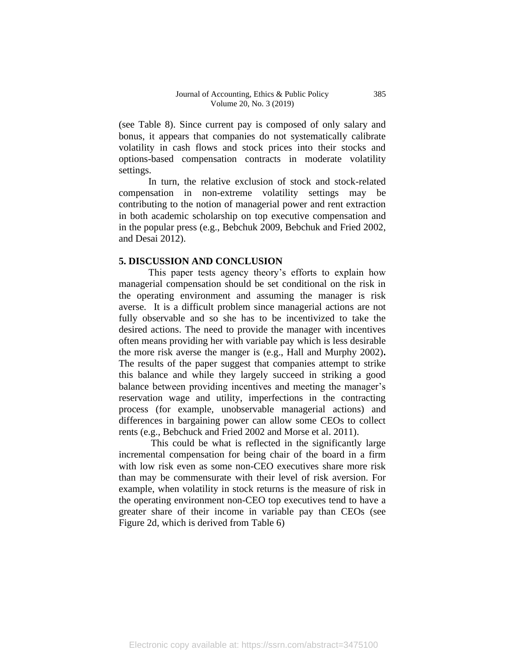(see Table 8). Since current pay is composed of only salary and bonus, it appears that companies do not systematically calibrate volatility in cash flows and stock prices into their stocks and options-based compensation contracts in moderate volatility settings.

In turn, the relative exclusion of stock and stock-related compensation in non-extreme volatility settings may be contributing to the notion of managerial power and rent extraction in both academic scholarship on top executive compensation and in the popular press (e.g., Bebchuk 2009, Bebchuk and Fried 2002, and Desai 2012).

#### **5. DISCUSSION AND CONCLUSION**

This paper tests agency theory's efforts to explain how managerial compensation should be set conditional on the risk in the operating environment and assuming the manager is risk averse. It is a difficult problem since managerial actions are not fully observable and so she has to be incentivized to take the desired actions. The need to provide the manager with incentives often means providing her with variable pay which is less desirable the more risk averse the manger is (e.g., Hall and Murphy 2002)**.**  The results of the paper suggest that companies attempt to strike this balance and while they largely succeed in striking a good balance between providing incentives and meeting the manager's reservation wage and utility, imperfections in the contracting process (for example, unobservable managerial actions) and differences in bargaining power can allow some CEOs to collect rents (e.g., Bebchuck and Fried 2002 and Morse et al. 2011).

This could be what is reflected in the significantly large incremental compensation for being chair of the board in a firm with low risk even as some non-CEO executives share more risk than may be commensurate with their level of risk aversion. For example, when volatility in stock returns is the measure of risk in the operating environment non-CEO top executives tend to have a greater share of their income in variable pay than CEOs (see Figure 2d, which is derived from Table 6)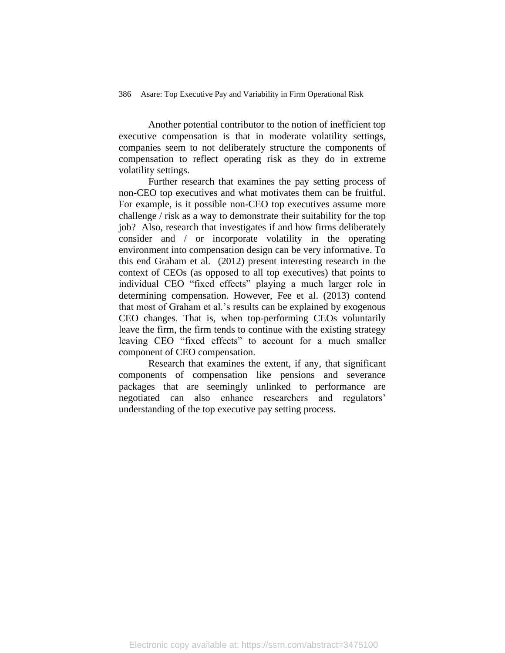Another potential contributor to the notion of inefficient top executive compensation is that in moderate volatility settings, companies seem to not deliberately structure the components of compensation to reflect operating risk as they do in extreme volatility settings.

Further research that examines the pay setting process of non-CEO top executives and what motivates them can be fruitful. For example, is it possible non-CEO top executives assume more challenge / risk as a way to demonstrate their suitability for the top job? Also, research that investigates if and how firms deliberately consider and / or incorporate volatility in the operating environment into compensation design can be very informative. To this end Graham et al. (2012) present interesting research in the context of CEOs (as opposed to all top executives) that points to individual CEO "fixed effects" playing a much larger role in determining compensation. However, Fee et al. (2013) contend that most of Graham et al.'s results can be explained by exogenous CEO changes. That is, when top-performing CEOs voluntarily leave the firm, the firm tends to continue with the existing strategy leaving CEO "fixed effects" to account for a much smaller component of CEO compensation.

Research that examines the extent, if any, that significant components of compensation like pensions and severance packages that are seemingly unlinked to performance are negotiated can also enhance researchers and regulators' understanding of the top executive pay setting process.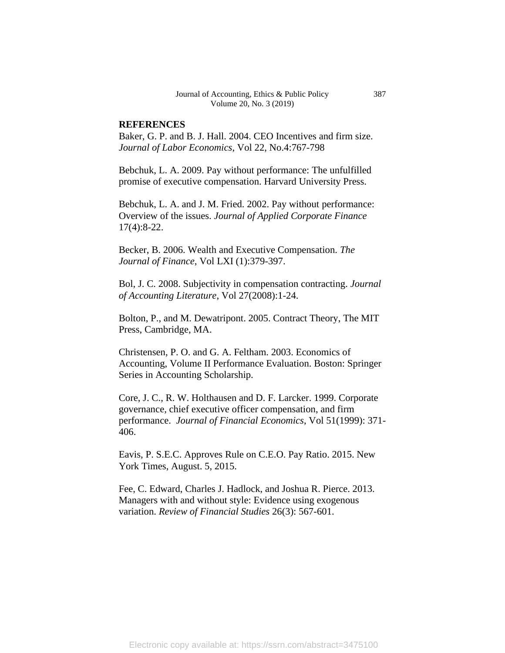#### **REFERENCES**

Baker, G. P. and B. J. Hall. 2004. CEO Incentives and firm size. *Journal of Labor Economics*, Vol 22, No.4:767-798

Bebchuk, L. A. 2009. Pay without performance: The unfulfilled promise of executive compensation. Harvard University Press.

Bebchuk, L. A. and J. M. Fried. 2002. Pay without performance: Overview of the issues. *Journal of Applied Corporate Finance* 17(4):8-22.

Becker, B. 2006. Wealth and Executive Compensation. *The Journal of Finance*, Vol LXI (1):379-397.

Bol, J. C. 2008. Subjectivity in compensation contracting. *Journal of Accounting Literature*, Vol 27(2008):1-24.

Bolton, P., and M. Dewatripont. 2005. Contract Theory, The MIT Press, Cambridge, MA.

Christensen, P. O. and G. A. Feltham. 2003. Economics of Accounting, Volume II Performance Evaluation. Boston: Springer Series in Accounting Scholarship.

Core, J. C., R. W. Holthausen and D. F. Larcker. 1999. Corporate governance, chief executive officer compensation, and firm performance. *Journal of Financial Economics*, Vol 51(1999): 371- 406.

Eavis, P. S.E.C. Approves Rule on C.E.O. Pay Ratio. 2015. New York Times, August. 5, 2015.

Fee, C. Edward, Charles J. Hadlock, and Joshua R. Pierce. 2013. Managers with and without style: Evidence using exogenous variation. *Review of Financial Studies* 26(3): 567-601.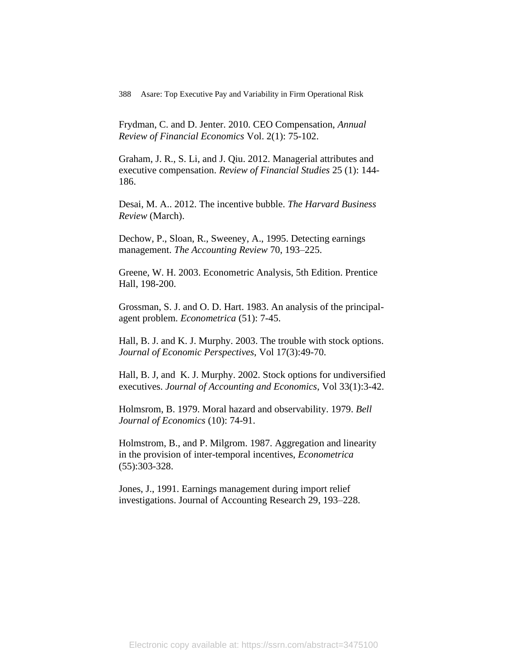Frydman, C. and D. Jenter. 2010. CEO Compensation, *Annual Review of Financial Economics* Vol. 2(1): 75-102.

Graham, J. R., S. Li, and J. Qiu. 2012. Managerial attributes and executive compensation. *Review of Financial Studies* 25 (1): 144- 186.

Desai, M. A.. 2012. The incentive bubble. *The Harvard Business Review* (March).

Dechow, P., Sloan, R., Sweeney, A., 1995. Detecting earnings management. *The Accounting Review* 70, 193–225.

Greene, W. H. 2003. Econometric Analysis, 5th Edition. Prentice Hall, 198-200.

Grossman, S. J. and O. D. Hart. 1983. An analysis of the principalagent problem. *Econometrica* (51): 7-45.

Hall, B. J. and K. J. Murphy. 2003. The trouble with stock options. *Journal of Economic Perspectives*, Vol 17(3):49-70.

Hall, B. J, and K. J. Murphy. 2002. Stock options for undiversified executives. *Journal of Accounting and Economics*, Vol 33(1):3-42.

Holmsrom, B. 1979. Moral hazard and observability. 1979. *Bell Journal of Economics* (10): 74-91.

Holmstrom, B., and P. Milgrom. 1987. Aggregation and linearity in the provision of inter-temporal incentives, *Econometrica* (55):303-328.

Jones, J., 1991. Earnings management during import relief investigations. Journal of Accounting Research 29, 193–228.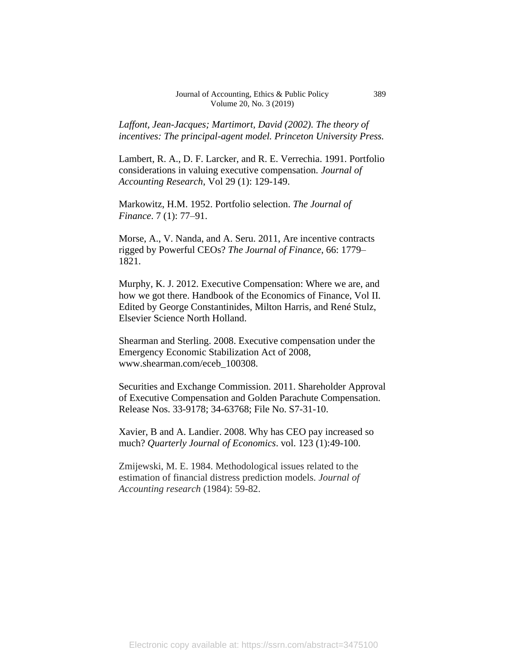*Laffont, Jean-Jacques; Martimort, David (2002). The theory of incentives: The principal-agent model. Princeton University Press.*

Lambert, R. A., D. F. Larcker, and R. E. Verrechia. 1991. Portfolio considerations in valuing executive compensation*. Journal of Accounting Research*, Vol 29 (1): 129-149.

Markowitz, H.M. 1952. Portfolio selection. *[The Journal of](https://en.wikipedia.org/wiki/The_Journal_of_Finance)  [Finance](https://en.wikipedia.org/wiki/The_Journal_of_Finance)*. 7 (1): 77–91.

Morse, A., V. Nanda, and A. Seru. 2011, Are incentive contracts rigged by Powerful CEOs? *The Journal of Finance*, 66: 1779– 1821.

Murphy, K. J. 2012. Executive Compensation: Where we are, and how we got there. Handbook of the Economics of Finance, Vol II. Edited by George Constantinides, Milton Harris, and René Stulz, Elsevier Science North Holland.

Shearman and Sterling. 2008. Executive compensation under the Emergency Economic Stabilization Act of 2008, [www.shearman.com/eceb\\_100308.](http://www.shearman.com/eceb_100308)

Securities and Exchange Commission. 2011. Shareholder Approval of Executive Compensation and Golden Parachute Compensation. Release Nos. 33-9178; 34-63768; File No. S7-31-10.

Xavier, B and A. Landier. 2008. Why has CEO pay increased so much? *Quarterly Journal of Economics*. vol. 123 (1):49-100.

Zmijewski, M. E. 1984. Methodological issues related to the estimation of financial distress prediction models. *Journal of Accounting research* (1984): 59-82.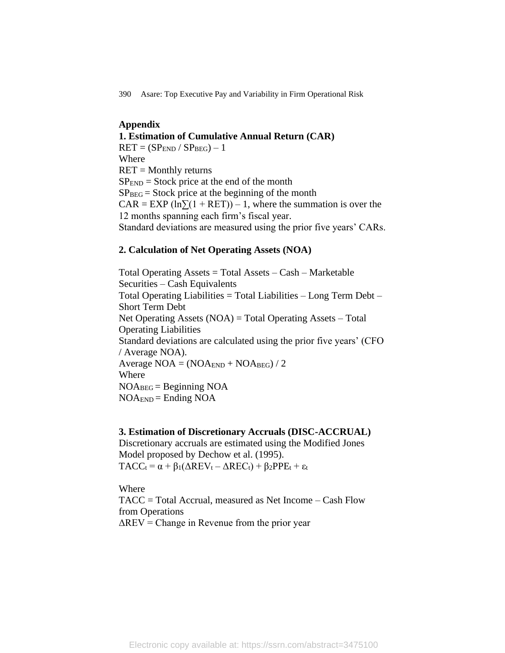## **Appendix 1. Estimation of Cumulative Annual Return (CAR)**  $RET = (SP<sub>END</sub> / SP<sub>BEG</sub>) - 1$ Where  $RET = Monthly$  returns  $SP<sub>END</sub> = Stock price at the end of the month$  $SP_{BEG}$  = Stock price at the beginning of the month  $CAR = EXP(\ln\Sigma(1 + RET)) - 1$ , where the summation is over the 12 months spanning each firm's fiscal year. Standard deviations are measured using the prior five years' CARs.

#### **2. Calculation of Net Operating Assets (NOA)**

Total Operating Assets = Total Assets – Cash – Marketable Securities – Cash Equivalents Total Operating Liabilities = Total Liabilities – Long Term Debt – Short Term Debt Net Operating Assets (NOA) = Total Operating Assets – Total Operating Liabilities Standard deviations are calculated using the prior five years' (CFO / Average NOA). Average  $NOA = (NOA<sub>END</sub> + NOA<sub>BEG</sub>) / 2$ Where  $NOA_{BEG} = Beginning NOA$  $NOA<sub>END</sub> = Ending NOA$ 

#### **3. Estimation of Discretionary Accruals (DISC-ACCRUAL)**

Discretionary accruals are estimated using the Modified Jones Model proposed by Dechow et al. (1995).  $TACC_t = \alpha + \beta_1(\Delta REV_t - \DeltaREC_t) + \beta_2PPE_t + \varepsilon_t$ 

Where TACC = Total Accrual, measured as Net Income – Cash Flow from Operations  $\Delta$ REV = Change in Revenue from the prior year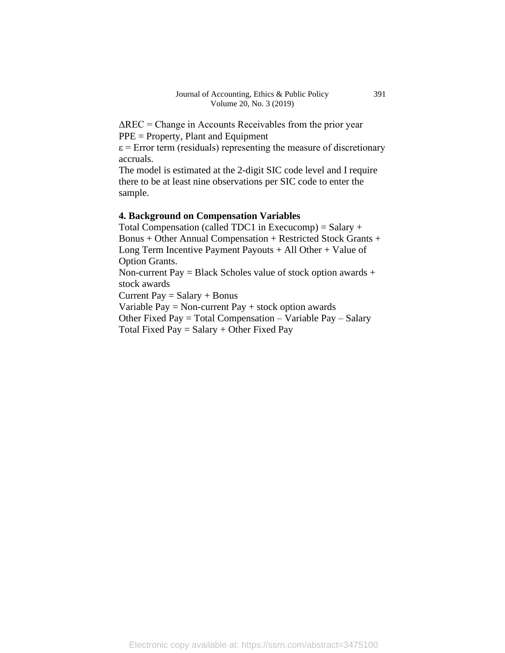$\Delta$ REC = Change in Accounts Receivables from the prior year PPE = Property, Plant and Equipment

 $\epsilon$  = Error term (residuals) representing the measure of discretionary accruals.

The model is estimated at the 2-digit SIC code level and I require there to be at least nine observations per SIC code to enter the sample.

#### **4. Background on Compensation Variables**

Total Compensation (called TDC1 in Execucomp) = Salary  $+$ Bonus + Other Annual Compensation + Restricted Stock Grants + Long Term Incentive Payment Payouts + All Other + Value of Option Grants.

Non-current Pay = Black Scholes value of stock option awards + stock awards

Current Pay  $=$  Salary  $+$  Bonus

Variable Pay = Non-current Pay  $+$  stock option awards

Other Fixed Pay = Total Compensation – Variable Pay – Salary Total Fixed Pay  $=$  Salary  $+$  Other Fixed Pay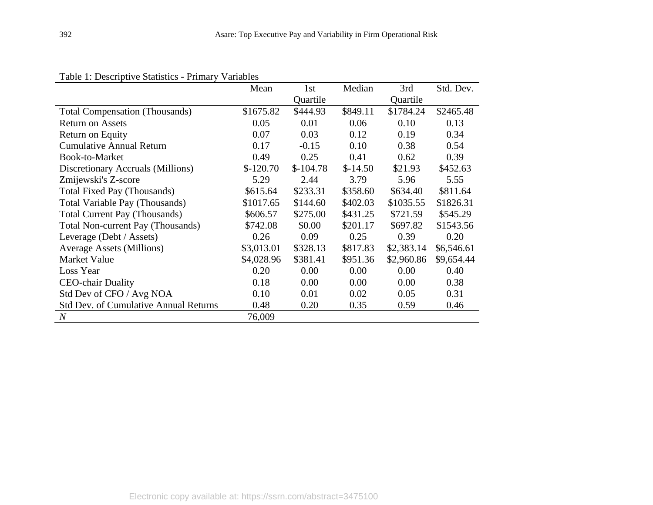|                                              | Mean       | 1st        | Median    | 3rd        | Std. Dev.  |
|----------------------------------------------|------------|------------|-----------|------------|------------|
|                                              |            | Quartile   |           | Quartile   |            |
| <b>Total Compensation (Thousands)</b>        | \$1675.82  | \$444.93   | \$849.11  | \$1784.24  | \$2465.48  |
| <b>Return on Assets</b>                      | 0.05       | 0.01       | 0.06      | 0.10       | 0.13       |
| Return on Equity                             | 0.07       | 0.03       | 0.12      | 0.19       | 0.34       |
| <b>Cumulative Annual Return</b>              | 0.17       | $-0.15$    | 0.10      | 0.38       | 0.54       |
| Book-to-Market                               | 0.49       | 0.25       | 0.41      | 0.62       | 0.39       |
| Discretionary Accruals (Millions)            | $$-120.70$ | $$-104.78$ | $$-14.50$ | \$21.93    | \$452.63   |
| Zmijewski's Z-score                          | 5.29       | 2.44       | 3.79      | 5.96       | 5.55       |
| Total Fixed Pay (Thousands)                  | \$615.64   | \$233.31   | \$358.60  | \$634.40   | \$811.64   |
| Total Variable Pay (Thousands)               | \$1017.65  | \$144.60   | \$402.03  | \$1035.55  | \$1826.31  |
| <b>Total Current Pay (Thousands)</b>         | \$606.57   | \$275.00   | \$431.25  | \$721.59   | \$545.29   |
| Total Non-current Pay (Thousands)            | \$742.08   | \$0.00     | \$201.17  | \$697.82   | \$1543.56  |
| Leverage (Debt / Assets)                     | 0.26       | 0.09       | 0.25      | 0.39       | 0.20       |
| <b>Average Assets (Millions)</b>             | \$3,013.01 | \$328.13   | \$817.83  | \$2,383.14 | \$6,546.61 |
| Market Value                                 | \$4,028.96 | \$381.41   | \$951.36  | \$2,960.86 | \$9,654.44 |
| Loss Year                                    | 0.20       | 0.00       | 0.00      | 0.00       | 0.40       |
| <b>CEO-chair Duality</b>                     | 0.18       | 0.00       | 0.00      | 0.00       | 0.38       |
| Std Dev of CFO / Avg NOA                     | 0.10       | 0.01       | 0.02      | 0.05       | 0.31       |
| <b>Std Dev. of Cumulative Annual Returns</b> | 0.48       | 0.20       | 0.35      | 0.59       | 0.46       |
| $\boldsymbol{N}$                             | 76,009     |            |           |            |            |

Table 1: Descriptive Statistics - Primary Variables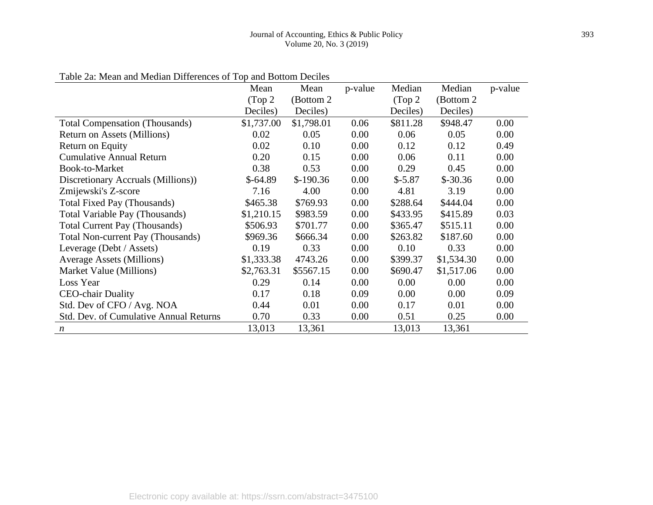| $1.10$ and $1.10$ and $1.10$ and $1.10$ and $1.0$ and $1.0$ and $1.0$ and $1.0$ and $1.0$ and $1.0$ and $1.0$ and $1.0$ and $1.0$ and $1.0$ and $1.0$ and $1.0$ and $1.0$ and $1.0$ and $1.0$ and $1.0$ and $1.0$ and $1.0$ a | Mean       | Mean       | p-value | Median   | Median     | p-value |
|-------------------------------------------------------------------------------------------------------------------------------------------------------------------------------------------------------------------------------|------------|------------|---------|----------|------------|---------|
|                                                                                                                                                                                                                               | (Top 2)    | (Bottom 2) |         | (Top 2)  | (Bottom 2) |         |
|                                                                                                                                                                                                                               | Deciles)   | Deciles)   |         | Deciles) | Deciles)   |         |
| <b>Total Compensation (Thousands)</b>                                                                                                                                                                                         | \$1,737.00 | \$1,798.01 | 0.06    | \$811.28 | \$948.47   | 0.00    |
| Return on Assets (Millions)                                                                                                                                                                                                   | 0.02       | 0.05       | 0.00    | 0.06     | 0.05       | 0.00    |
| Return on Equity                                                                                                                                                                                                              | 0.02       | 0.10       | 0.00    | 0.12     | 0.12       | 0.49    |
| <b>Cumulative Annual Return</b>                                                                                                                                                                                               | 0.20       | 0.15       | 0.00    | 0.06     | 0.11       | 0.00    |
| Book-to-Market                                                                                                                                                                                                                | 0.38       | 0.53       | 0.00    | 0.29     | 0.45       | 0.00    |
| Discretionary Accruals (Millions))                                                                                                                                                                                            | $$-64.89$  | $$-190.36$ | 0.00    | $$-5.87$ | $$-30.36$  | 0.00    |
| Zmijewski's Z-score                                                                                                                                                                                                           | 7.16       | 4.00       | 0.00    | 4.81     | 3.19       | 0.00    |
| Total Fixed Pay (Thousands)                                                                                                                                                                                                   | \$465.38   | \$769.93   | 0.00    | \$288.64 | \$444.04   | 0.00    |
| Total Variable Pay (Thousands)                                                                                                                                                                                                | \$1,210.15 | \$983.59   | 0.00    | \$433.95 | \$415.89   | 0.03    |
| <b>Total Current Pay (Thousands)</b>                                                                                                                                                                                          | \$506.93   | \$701.77   | 0.00    | \$365.47 | \$515.11   | 0.00    |
| <b>Total Non-current Pay (Thousands)</b>                                                                                                                                                                                      | \$969.36   | \$666.34   | 0.00    | \$263.82 | \$187.60   | 0.00    |
| Leverage (Debt / Assets)                                                                                                                                                                                                      | 0.19       | 0.33       | 0.00    | 0.10     | 0.33       | 0.00    |
| <b>Average Assets (Millions)</b>                                                                                                                                                                                              | \$1,333.38 | 4743.26    | 0.00    | \$399.37 | \$1,534.30 | 0.00    |
| Market Value (Millions)                                                                                                                                                                                                       | \$2,763.31 | \$5567.15  | 0.00    | \$690.47 | \$1,517.06 | 0.00    |
| Loss Year                                                                                                                                                                                                                     | 0.29       | 0.14       | 0.00    | 0.00     | 0.00       | 0.00    |
| <b>CEO-chair Duality</b>                                                                                                                                                                                                      | 0.17       | 0.18       | 0.09    | 0.00     | 0.00       | 0.09    |
| Std. Dev of CFO / Avg. NOA                                                                                                                                                                                                    | 0.44       | 0.01       | 0.00    | 0.17     | 0.01       | 0.00    |
| <b>Std. Dev. of Cumulative Annual Returns</b>                                                                                                                                                                                 | 0.70       | 0.33       | 0.00    | 0.51     | 0.25       | 0.00    |
| $\boldsymbol{n}$                                                                                                                                                                                                              | 13,013     | 13,361     |         | 13,013   | 13,361     |         |

Table 2a: Mean and Median Differences of Top and Bottom Deciles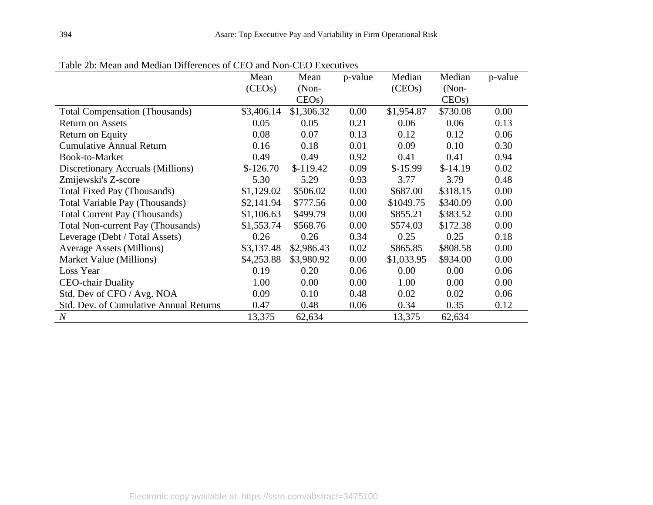| Tuble 20. Mean and Median Differences of CLO and Foll CLO LAccall res | Mean       | Mean       | p-value | Median     | Median    | p-value |
|-----------------------------------------------------------------------|------------|------------|---------|------------|-----------|---------|
|                                                                       | (CEOs)     | $(Non-$    |         | (CEOs)     | $(Non-$   |         |
|                                                                       |            | CEOs       |         |            | CEOs      |         |
| <b>Total Compensation (Thousands)</b>                                 | \$3,406.14 | \$1,306.32 | 0.00    | \$1,954.87 | \$730.08  | 0.00    |
| <b>Return on Assets</b>                                               | 0.05       | 0.05       | 0.21    | 0.06       | 0.06      | 0.13    |
| Return on Equity                                                      | 0.08       | 0.07       | 0.13    | 0.12       | 0.12      | 0.06    |
| <b>Cumulative Annual Return</b>                                       | 0.16       | 0.18       | 0.01    | 0.09       | 0.10      | 0.30    |
| Book-to-Market                                                        | 0.49       | 0.49       | 0.92    | 0.41       | 0.41      | 0.94    |
| Discretionary Accruals (Millions)                                     | $$-126.70$ | $$-119.42$ | 0.09    | $$-15.99$  | $$-14.19$ | 0.02    |
| Zmijewski's Z-score                                                   | 5.30       | 5.29       | 0.93    | 3.77       | 3.79      | 0.48    |
| <b>Total Fixed Pay (Thousands)</b>                                    | \$1,129.02 | \$506.02   | 0.00    | \$687.00   | \$318.15  | 0.00    |
| Total Variable Pay (Thousands)                                        | \$2,141.94 | \$777.56   | 0.00    | \$1049.75  | \$340.09  | 0.00    |
| <b>Total Current Pay (Thousands)</b>                                  | \$1,106.63 | \$499.79   | 0.00    | \$855.21   | \$383.52  | 0.00    |
| <b>Total Non-current Pay (Thousands)</b>                              | \$1,553.74 | \$568.76   | 0.00    | \$574.03   | \$172.38  | 0.00    |
| Leverage (Debt / Total Assets)                                        | 0.26       | 0.26       | 0.34    | 0.25       | 0.25      | 0.18    |
| <b>Average Assets (Millions)</b>                                      | \$3,137.48 | \$2,986.43 | 0.02    | \$865.85   | \$808.58  | 0.00    |
| Market Value (Millions)                                               | \$4,253.88 | \$3,980.92 | 0.00    | \$1,033.95 | \$934.00  | 0.00    |
| Loss Year                                                             | 0.19       | 0.20       | 0.06    | 0.00       | 0.00      | 0.06    |
| <b>CEO-chair Duality</b>                                              | 1.00       | 0.00       | 0.00    | 1.00       | 0.00      | 0.00    |
| Std. Dev of CFO / Avg. NOA                                            | 0.09       | 0.10       | 0.48    | 0.02       | 0.02      | 0.06    |
| Std. Dev. of Cumulative Annual Returns                                | 0.47       | 0.48       | 0.06    | 0.34       | 0.35      | 0.12    |
| $\mathcal N$                                                          | 13,375     | 62,634     |         | 13,375     | 62,634    |         |

Table 2b: Mean and Median Differences of CEO and Non-CEO Executives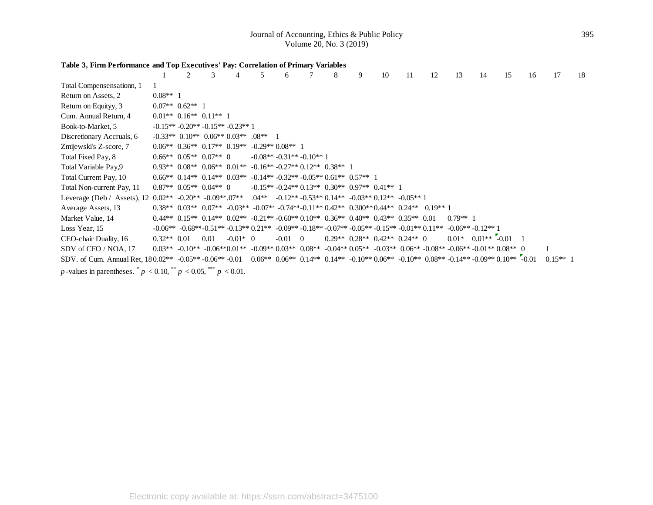#### **Table 3, Firm Performance and Top Executives' Pay: Correlation of Primary Variables**

|                                                                                                                                                             |               | $\mathfrak{D}$                      | 3    |            | 5                                                                                       | 6                                                                                     | 8 | 9 | 10 | 11                                                                                                                 | 12 | 13         | 14                                                                                                                                                                                                                                                                        | 15 | 16 | 17         | 18 |
|-------------------------------------------------------------------------------------------------------------------------------------------------------------|---------------|-------------------------------------|------|------------|-----------------------------------------------------------------------------------------|---------------------------------------------------------------------------------------|---|---|----|--------------------------------------------------------------------------------------------------------------------|----|------------|---------------------------------------------------------------------------------------------------------------------------------------------------------------------------------------------------------------------------------------------------------------------------|----|----|------------|----|
| Total Compensensationn, 1                                                                                                                                   |               |                                     |      |            |                                                                                         |                                                                                       |   |   |    |                                                                                                                    |    |            |                                                                                                                                                                                                                                                                           |    |    |            |    |
| Return on Assets, 2                                                                                                                                         | $0.08**$ 1    |                                     |      |            |                                                                                         |                                                                                       |   |   |    |                                                                                                                    |    |            |                                                                                                                                                                                                                                                                           |    |    |            |    |
| Return on Equityy, 3                                                                                                                                        |               | $0.07**$ 0.62 <sup>**</sup> 1       |      |            |                                                                                         |                                                                                       |   |   |    |                                                                                                                    |    |            |                                                                                                                                                                                                                                                                           |    |    |            |    |
| Cum. Annual Return, 4                                                                                                                                       |               | $0.01**$ $0.16**$ $0.11**$ 1        |      |            |                                                                                         |                                                                                       |   |   |    |                                                                                                                    |    |            |                                                                                                                                                                                                                                                                           |    |    |            |    |
| Book-to-Market, 5                                                                                                                                           |               | $-0.15** -0.20** -0.15** -0.23**$ 1 |      |            |                                                                                         |                                                                                       |   |   |    |                                                                                                                    |    |            |                                                                                                                                                                                                                                                                           |    |    |            |    |
| Discretionary Accruals, 6                                                                                                                                   |               |                                     |      |            | $-0.33**$ 0.10 <sup>**</sup> 0.06 <sup>**</sup> 0.03 <sup>**</sup> 0.08 <sup>**</sup> 1 |                                                                                       |   |   |    |                                                                                                                    |    |            |                                                                                                                                                                                                                                                                           |    |    |            |    |
| Zmijewski's Z-score, 7                                                                                                                                      |               |                                     |      |            |                                                                                         | $0.06**$ $0.36**$ $0.17**$ $0.19**$ $-0.29**$ $0.08**$ 1                              |   |   |    |                                                                                                                    |    |            |                                                                                                                                                                                                                                                                           |    |    |            |    |
| Total Fixed Pay, 8                                                                                                                                          |               | $0.66**$ $0.05**$ $0.07**$ 0        |      |            |                                                                                         | $-0.08** -0.31** -0.10**$ 1                                                           |   |   |    |                                                                                                                    |    |            |                                                                                                                                                                                                                                                                           |    |    |            |    |
| Total Variable Pay, 9                                                                                                                                       |               |                                     |      |            |                                                                                         | $0.93**$ $0.08**$ $0.06**$ $0.01**$ $-0.16**$ $-0.27**$ $0.12**$ $0.38**$ 1           |   |   |    |                                                                                                                    |    |            |                                                                                                                                                                                                                                                                           |    |    |            |    |
| Total Current Pay, 10                                                                                                                                       |               |                                     |      |            |                                                                                         | $0.66**$ $0.14**$ $0.14**$ $0.03**$ $-0.14**$ $-0.32**$ $-0.05**$ $0.61**$ $0.57**$ 1 |   |   |    |                                                                                                                    |    |            |                                                                                                                                                                                                                                                                           |    |    |            |    |
| Total Non-current Pay, 11                                                                                                                                   |               | $0.87**$ $0.05**$ $0.04**$ 0        |      |            |                                                                                         | $-0.15** -0.24** 0.13** 0.30** 0.97** 0.41** 1$                                       |   |   |    |                                                                                                                    |    |            |                                                                                                                                                                                                                                                                           |    |    |            |    |
| Leverage (Deb / Assets), 12 0.02** -0.20** -0.09** 07** 04** -0.12** -0.53** 0.14** -0.03** 0.12** -0.05** 1                                                |               |                                     |      |            |                                                                                         |                                                                                       |   |   |    |                                                                                                                    |    |            |                                                                                                                                                                                                                                                                           |    |    |            |    |
| Average Assets, 13                                                                                                                                          |               |                                     |      |            |                                                                                         |                                                                                       |   |   |    | $0.38**$ $0.03**$ $0.07**$ $-0.03**$ $-0.07**$ $-0.74**$ $-0.11**$ $0.42**$ $0.300**$ $0.44**$ $0.24**$ $0.19**$ 1 |    |            |                                                                                                                                                                                                                                                                           |    |    |            |    |
| Market Value, 14                                                                                                                                            |               |                                     |      |            |                                                                                         |                                                                                       |   |   |    | $0.44**$ $0.15**$ $0.14**$ $0.02**$ $-0.21**$ $-0.60**$ $0.10**$ $0.36**$ $0.40**$ $0.43**$ $0.35**$ $0.01$        |    | $0.79**$ 1 |                                                                                                                                                                                                                                                                           |    |    |            |    |
| Loss Year, 15                                                                                                                                               |               |                                     |      |            |                                                                                         |                                                                                       |   |   |    |                                                                                                                    |    |            | $-0.06^{**}$ $-0.68^{**}$ $-0.51^{**}$ $-0.13^{**}$ $0.21^{**}$ $-0.09^{**}$ $-0.18^{**}$ $-0.07^{**}$ $-0.05^{**}$ $-0.15^{**}$ $-0.01^{**}$ $0.11^{**}$ $-0.06^{**}$ $-0.12^{**}$ 1                                                                                     |    |    |            |    |
| CEO-chair Duality, 16                                                                                                                                       | $0.32**$ 0.01 |                                     | 0.01 | $-0.01*$ 0 |                                                                                         | $-0.01 \quad 0$                                                                       |   |   |    | $0.29**$ $0.28**$ $0.42**$ $0.24**$ 0                                                                              |    |            | $0.01*$ $0.01**$ -0.01                                                                                                                                                                                                                                                    |    |    |            |    |
| SDV of CFO / NOA, 17                                                                                                                                        |               |                                     |      |            |                                                                                         |                                                                                       |   |   |    |                                                                                                                    |    |            | $0.03^{**}$ $-0.10^{**}$ $-0.06^{**}$ $0.01^{**}$ $-0.09^{**}$ $0.03^{**}$ $0.08^{**}$ $-0.04^{**}$ $0.05^{**}$ $-0.03^{**}$ $0.06^{**}$ $-0.08^{**}$ $-0.01^{**}$ $0.08^{**}$ $0.08^{**}$ $0.08^{**}$ $0.08^{**}$ $0.08^{**}$ $0.08^{**}$ $0.08^{**}$ $0.08^{**}$ $0.08$ |    |    |            |    |
| SDV. of Cum. Annual Ret, 180.02** -0.05** -0.06** -0.01 0.06** 0.06** 0.14** 0.14** -0.10** 0.06** -0.10** 0.08** -0.14** -0.09** 0.10** <sup>"</sup> -0.01 |               |                                     |      |            |                                                                                         |                                                                                       |   |   |    |                                                                                                                    |    |            |                                                                                                                                                                                                                                                                           |    |    | $0.15**$ 1 |    |
| <i>p</i> -values in parentheses. $p < 0.10$ , $p < 0.05$ , $p < 0.01$ .                                                                                     |               |                                     |      |            |                                                                                         |                                                                                       |   |   |    |                                                                                                                    |    |            |                                                                                                                                                                                                                                                                           |    |    |            |    |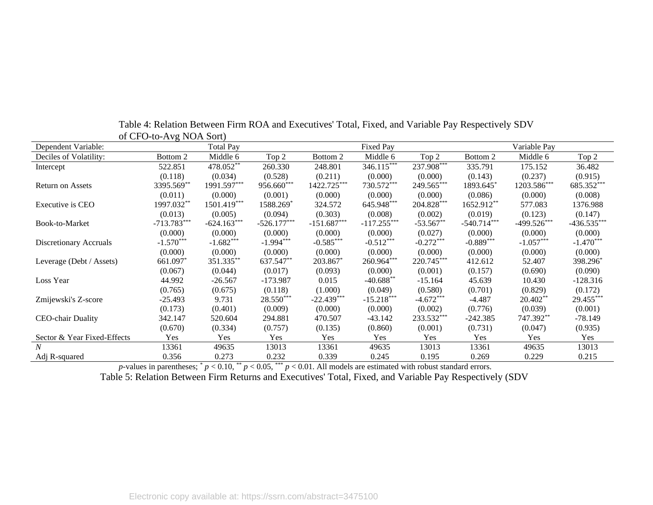| Dependent Variable:         | $\frac{1}{2}$ or $\frac{1}{2}$ or $\frac{1}{2}$ or $\frac{1}{2}$ or $\frac{1}{2}$ | <b>Total Pay</b> |               |               | Fixed Pay     |              |               | Variable Pay  |               |
|-----------------------------|-----------------------------------------------------------------------------------|------------------|---------------|---------------|---------------|--------------|---------------|---------------|---------------|
| Deciles of Volatility:      | Bottom 2                                                                          | Middle 6         | Top 2         | Bottom 2      | Middle 6      | Top 2        | Bottom 2      | Middle 6      | Top 2         |
| Intercept                   | 522.851                                                                           | 478.052**        | 260.330       | 248.801       | $346.115***$  | $237.908***$ | 335.791       | 175.152       | 36.482        |
|                             | (0.118)                                                                           | (0.034)          | (0.528)       | (0.211)       | (0.000)       | (0.000)      | (0.143)       | (0.237)       | (0.915)       |
| <b>Return on Assets</b>     | 3395.569**                                                                        | 1991.597***      | 956.660***    | 1422.725***   | 730.572***    | 249.565***   | 1893.645*     | 1203.586***   | 685.352***    |
|                             | (0.011)                                                                           | (0.000)          | (0.001)       | (0.000)       | (0.000)       | (0.000)      | (0.086)       | (0.000)       | (0.008)       |
| Executive is CEO            | 1997.032**                                                                        | 1501.419***      | 1588.269      | 324.572       | 645.948***    | 204.828***   | 1652.912**    | 577.083       | 1376.988      |
|                             | (0.013)                                                                           | (0.005)          | (0.094)       | (0.303)       | (0.008)       | (0.002)      | (0.019)       | (0.123)       | (0.147)       |
| Book-to-Market              | $-713.783***$                                                                     | $-624.163***$    | $-526.177***$ | $-151.687***$ | $-117.255***$ | $-53.567**$  | $-540.714***$ | $-499.526***$ | $-436.535***$ |
|                             | (0.000)                                                                           | (0.000)          | (0.000)       | (0.000)       | (0.000)       | (0.027)      | (0.000)       | (0.000)       | (0.000)       |
| Discretionary Accruals      | $-1.570***$                                                                       | $-1.682***$      | $-1.994***$   | $-0.585***$   | $-0.512***$   | $-0.272***$  | $-0.889***$   | $-1.057***$   | $-1.470***$   |
|                             | (0.000)                                                                           | (0.000)          | (0.000)       | (0.000)       | (0.000)       | (0.000)      | (0.000)       | (0.000)       | (0.000)       |
| Leverage (Debt / Assets)    | 661.097                                                                           | 351.335**        | 637.547**     | 203.867*      | 260.964***    | 220.745***   | 412.612       | 52.407        | 398.296       |
|                             | (0.067)                                                                           | (0.044)          | (0.017)       | (0.093)       | (0.000)       | (0.001)      | (0.157)       | (0.690)       | (0.090)       |
| Loss Year                   | 44.992                                                                            | $-26.567$        | $-173.987$    | 0.015         | $-40.688**$   | $-15.164$    | 45.639        | 10.430        | $-128.316$    |
|                             | (0.765)                                                                           | (0.675)          | (0.118)       | (1.000)       | (0.049)       | (0.580)      | (0.701)       | (0.829)       | (0.172)       |
| Zmijewski's Z-score         | $-25.493$                                                                         | 9.731            | $28.550***$   | $-22.439***$  | $-15.218***$  | $-4.672***$  | $-4.487$      | $20.402**$    | 29.455***     |
|                             | (0.173)                                                                           | (0.401)          | (0.009)       | (0.000)       | (0.000)       | (0.002)      | (0.776)       | (0.039)       | (0.001)       |
| <b>CEO-chair Duality</b>    | 342.147                                                                           | 520.604          | 294.881       | 470.507       | $-43.142$     | 233.532***   | $-242.385$    | 747.392**     | $-78.149$     |
|                             | (0.670)                                                                           | (0.334)          | (0.757)       | (0.135)       | (0.860)       | (0.001)      | (0.731)       | (0.047)       | (0.935)       |
| Sector & Year Fixed-Effects | Yes                                                                               | Yes              | Yes           | Yes           | Yes           | Yes          | Yes           | Yes           | Yes           |
| $\boldsymbol{N}$            | 13361                                                                             | 49635            | 13013         | 13361         | 49635         | 13013        | 13361         | 49635         | 13013         |
| Adj R-squared               | 0.356                                                                             | 0.273            | 0.232         | 0.339         | 0.245         | 0.195        | 0.269         | 0.229         | 0.215         |

Table 4: Relation Between Firm ROA and Executives' Total, Fixed, and Variable Pay Respectively SDV of CFO-to-Avg NOA Sort)

*p*-values in parentheses;  $p < 0.10$ ,  $p < 0.05$ ,  $p < 0.01$ . All models are estimated with robust standard errors.

Table 5: Relation Between Firm Returns and Executives' Total, Fixed, and Variable Pay Respectively (SDV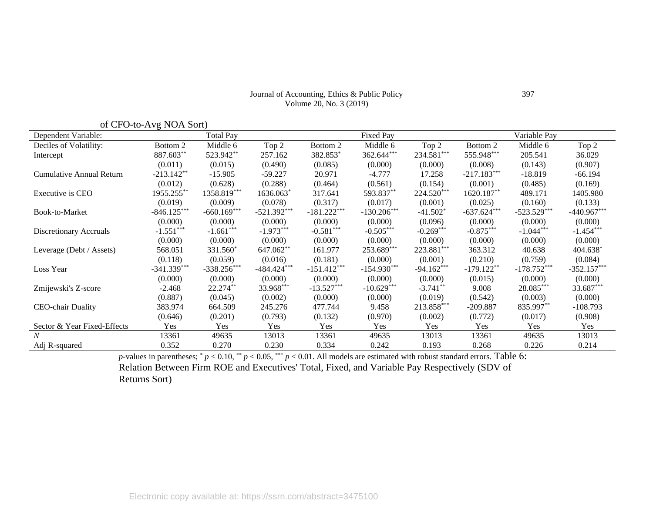| Journal of Accounting, Ethics & Public Policy |
|-----------------------------------------------|
| Volume 20, No. 3 (2019)                       |

|                                 | of CFO-to-Avg NOA Sort) |                  |               |               |                  |              |               |               |               |
|---------------------------------|-------------------------|------------------|---------------|---------------|------------------|--------------|---------------|---------------|---------------|
| Dependent Variable:             |                         | <b>Total Pay</b> |               |               | <b>Fixed Pay</b> |              |               | Variable Pay  |               |
| Deciles of Volatility:          | Bottom 2                | Middle 6         | Top 2         | Bottom 2      | Middle 6         | Top 2        | Bottom 2      | Middle 6      | Top 2         |
| Intercept                       | 887.603**               | 523.942**        | 257.162       | 382.853*      | 362.644***       | $234.581***$ | 555.948***    | 205.541       | 36.029        |
|                                 | (0.011)                 | (0.015)          | (0.490)       | (0.085)       | (0.000)          | (0.000)      | (0.008)       | (0.143)       | (0.907)       |
| <b>Cumulative Annual Return</b> | $-213.142$ **           | $-15.905$        | $-59.227$     | 20.971        | $-4.777$         | 17.258       | $-217.183***$ | $-18.819$     | $-66.194$     |
|                                 | (0.012)                 | (0.628)          | (0.288)       | (0.464)       | (0.561)          | (0.154)      | (0.001)       | (0.485)       | (0.169)       |
| Executive is CEO                | 1955.255**              | 1358.819***      | 1636.063*     | 317.641       | 593.837**        | 224.520***   | 1620.187**    | 489.171       | 1405.980      |
|                                 | (0.019)                 | (0.009)          | (0.078)       | (0.317)       | (0.017)          | (0.001)      | (0.025)       | (0.160)       | (0.133)       |
| Book-to-Market                  | $-846.125***$           | $-660.169***$    | $-521.392***$ | $-181.222***$ | $-130.206***$    | $-41.502*$   | $-637.624***$ | $-523.529***$ | $-440.967***$ |
|                                 | (0.000)                 | (0.000)          | (0.000)       | (0.000)       | (0.000)          | (0.096)      | (0.000)       | (0.000)       | (0.000)       |
| Discretionary Accruals          | $-1.551***$             | $-1.661***$      | $-1.973***$   | $-0.581***$   | $-0.505***$      | $-0.269***$  | $-0.875***$   | $-1.044***$   | $-1.454***$   |
|                                 | (0.000)                 | (0.000)          | (0.000)       | (0.000)       | (0.000)          | (0.000)      | (0.000)       | (0.000)       | (0.000)       |
| Leverage (Debt / Assets)        | 568.051                 | 331.560*         | 647.062**     | 161.977       | 253.689***       | 223.881***   | 363.312       | 40.638        | 404.638*      |
|                                 | (0.118)                 | (0.059)          | (0.016)       | (0.181)       | (0.000)          | (0.001)      | (0.210)       | (0.759)       | (0.084)       |
| Loss Year                       | $-341.339***$           | $-338.256***$    | $-484.424***$ | $-151.412***$ | $-154.930***$    | $-94.162***$ | $-179.122**$  | $-178.752***$ | $-352.157***$ |
|                                 | (0.000)                 | (0.000)          | (0.000)       | (0.000)       | (0.000)          | (0.000)      | (0.015)       | (0.000)       | (0.000)       |
| Zmijewski's Z-score             | $-2.468$                | 22.274**         | 33.968***     | $-13.527***$  | $-10.629***$     | $-3.741$ **  | 9.008         | $28.085***$   | 33.687***     |
|                                 | (0.887)                 | (0.045)          | (0.002)       | (0.000)       | (0.000)          | (0.019)      | (0.542)       | (0.003)       | (0.000)       |
| <b>CEO-chair Duality</b>        | 383.974                 | 664.509          | 245.276       | 477.744       | 9.458            | 213.858***   | $-209.887$    | 835.997**     | $-108.793$    |
|                                 | (0.646)                 | (0.201)          | (0.793)       | (0.132)       | (0.970)          | (0.002)      | (0.772)       | (0.017)       | (0.908)       |
| Sector & Year Fixed-Effects     | Yes                     | <b>Yes</b>       | Yes           | Yes           | <b>Yes</b>       | Yes          | Yes           | <b>Yes</b>    | Yes           |
| N                               | 13361                   | 49635            | 13013         | 13361         | 49635            | 13013        | 13361         | 49635         | 13013         |
| Adj R-squared                   | 0.352                   | 0.270            | 0.230         | 0.334         | 0.242            | 0.193        | 0.268         | 0.226         | 0.214         |

*p*-values in parentheses;  $p < 0.10$ ,  $p < 0.05$ ,  $p < 0.01$ . All models are estimated with robust standard errors. Table 6: Relation Between Firm ROE and Executives' Total, Fixed, and Variable Pay Respectively (SDV of Returns Sort)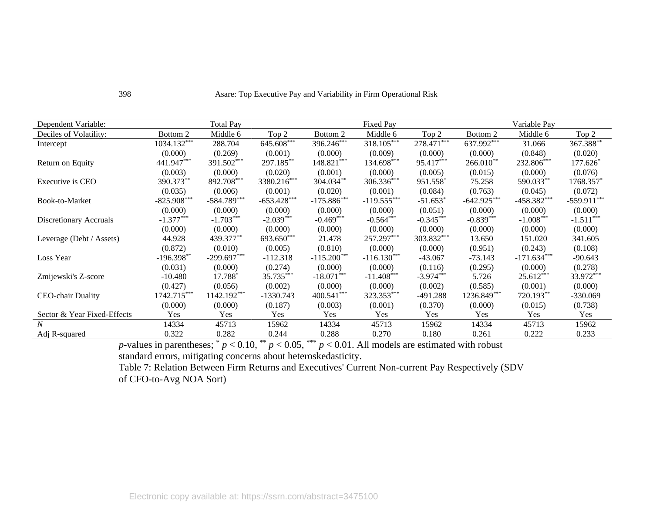| Dependent Variable:         |               | <b>Total Pay</b> |               |               | Fixed Pay     |              |               | Variable Pay  |               |
|-----------------------------|---------------|------------------|---------------|---------------|---------------|--------------|---------------|---------------|---------------|
| Deciles of Volatility:      | Bottom 2      | Middle 6         | Top 2         | Bottom 2      | Middle 6      | Top 2        | Bottom 2      | Middle 6      | Top 2         |
| Intercept                   | 1034.132***   | 288.704          | $645.608$ *** | $396.246***$  | 318.105***    | $278.471***$ | $637.992***$  | 31.066        | 367.388**     |
|                             | (0.000)       | (0.269)          | (0.001)       | (0.000)       | (0.009)       | (0.000)      | (0.000)       | (0.848)       | (0.020)       |
| Return on Equity            | 441.947***    | 391.502***       | 297.185**     | 148.821***    | 134.698***    | 95.417***    | $266.010**$   | 232.806***    | 177.626*      |
|                             | (0.003)       | (0.000)          | (0.020)       | (0.001)       | (0.000)       | (0.005)      | (0.015)       | (0.000)       | (0.076)       |
| Executive is CEO            | 390.373**     | 892.708***       | 3380.216***   | 304.034**     | 306.336***    | 951.558*     | 75.258        | 590.033**     | 1768.357*     |
|                             | (0.035)       | (0.006)          | (0.001)       | (0.020)       | (0.001)       | (0.084)      | (0.763)       | (0.045)       | (0.072)       |
| Book-to-Market              | $-825.908***$ | $-584.789***$    | $-653.428***$ | $-175.886***$ | $-119.555***$ | $-51.653*$   | $-642.925***$ | $-458.382***$ | $-559.911***$ |
|                             | (0.000)       | (0.000)          | (0.000)       | (0.000)       | (0.000)       | (0.051)      | (0.000)       | (0.000)       | (0.000)       |
| Discretionary Accruals      | $-1.377***$   | $-1.703***$      | $-2.039***$   | $-0.469***$   | $-0.564***$   | $-0.345***$  | $-0.839***$   | $-1.008***$   | $-1.511***$   |
|                             | (0.000)       | (0.000)          | (0.000)       | (0.000)       | (0.000)       | (0.000)      | (0.000)       | (0.000)       | (0.000)       |
| Leverage (Debt / Assets)    | 44.928        | 439.377**        | 693.650***    | 21.478        | 257.297***    | 303.832***   | 13.650        | 151.020       | 341.605       |
|                             | (0.872)       | (0.010)          | (0.005)       | (0.810)       | (0.000)       | (0.000)      | (0.951)       | (0.243)       | (0.108)       |
| Loss Year                   | $-196.398**$  | $-299.697***$    | $-112.318$    | $-115.200***$ | $-116.130***$ | $-43.067$    | $-73.143$     | $-171.634***$ | -90.643       |
|                             | (0.031)       | (0.000)          | (0.274)       | (0.000)       | (0.000)       | (0.116)      | (0.295)       | (0.000)       | (0.278)       |
| Zmijewski's Z-score         | $-10.480$     | 17.788*          | $35.735***$   | $-18.071***$  | $-11.408***$  | $-3.974***$  | 5.726         | $25.612***$   | 33.972***     |
|                             | (0.427)       | (0.056)          | (0.002)       | (0.000)       | (0.000)       | (0.002)      | (0.585)       | (0.001)       | (0.000)       |
| <b>CEO-chair Duality</b>    | 1742.715***   | 1142.192***      | $-1330.743$   | $400.541***$  | 323.353***    | $-491.288$   | 1236.849***   | 720.193**     | $-330.069$    |
|                             | (0.000)       | (0.000)          | (0.187)       | (0.003)       | (0.001)       | (0.370)      | (0.000)       | (0.015)       | (0.738)       |
| Sector & Year Fixed-Effects | Yes           | Yes              | Yes           | Yes           | Yes           | Yes          | Yes           | Yes           | Yes           |
| N                           | 14334         | 45713            | 15962         | 14334         | 45713         | 15962        | 14334         | 45713         | 15962         |
| Adj R-squared               | 0.322         | 0.282            | 0.244         | 0.288         | 0.270         | 0.180        | 0.261         | 0.222         | 0.233         |

*p*-values in parentheses;  $p < 0.10$ ,  $p < 0.05$ ,  $p < 0.01$ . All models are estimated with robust standard errors, mitigating concerns about heteroskedasticity.

Table 7: Relation Between Firm Returns and Executives' Current Non-current Pay Respectively (SDV of CFO-to-Avg NOA Sort)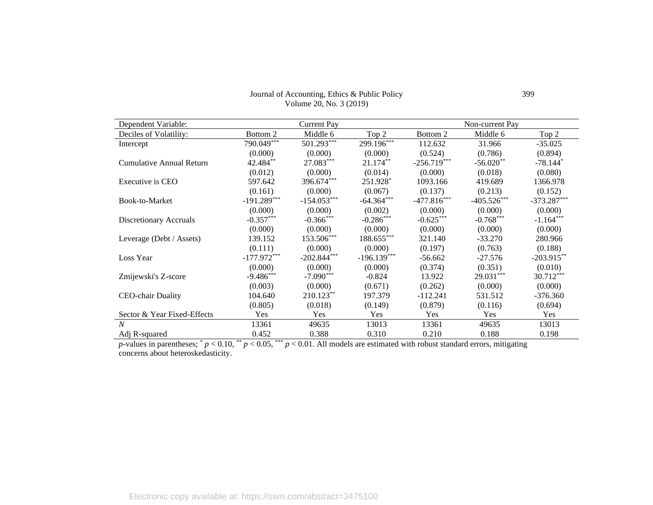#### Journal of Accounting, Ethics & Public Policy Volume 20, No. 3 (2019)

| Dependent Variable:         |               | <b>Current Pay</b> |               |               | Non-current Pay |               |
|-----------------------------|---------------|--------------------|---------------|---------------|-----------------|---------------|
| Deciles of Volatility:      | Bottom 2      | Middle 6           | Top 2         | Bottom 2      | Middle 6        | Top 2         |
| Intercept                   | 790.049       | $501.293***$       | $299.196***$  | 112.632       | 31.966          | $-35.025$     |
|                             | (0.000)       | (0.000)            | (0.000)       | (0.524)       | (0.786)         | (0.894)       |
| Cumulative Annual Return    | 42.484**      | 27.083***          | $21.174**$    | $-256.719***$ | $-56.020**$     | $-78.144*$    |
|                             | (0.012)       | (0.000)            | (0.014)       | (0.000)       | (0.018)         | (0.080)       |
| Executive is CEO            | 597.642       | 396.674***         | 251.928*      | 1093.166      | 419.689         | 1366.978      |
|                             | (0.161)       | (0.000)            | (0.067)       | (0.137)       | (0.213)         | (0.152)       |
| Book-to-Market              | $-191.289***$ | $-154.053***$      | $-64.364***$  | $-477.816***$ | $-405.526***$   | $-373.287***$ |
|                             | (0.000)       | (0.000)            | (0.002)       | (0.000)       | (0.000)         | (0.000)       |
| Discretionary Accruals      | $-0.357***$   | $-0.366$ ***       | $-0.286***$   | $-0.625***$   | $-0.768***$     | $-1.164***$   |
|                             | (0.000)       | (0.000)            | (0.000)       | (0.000)       | (0.000)         | (0.000)       |
| Leverage (Debt / Assets)    | 139.152       | 153.506***         | $188.655***$  | 321.140       | $-33.270$       | 280.966       |
|                             | (0.111)       | (0.000)            | (0.000)       | (0.197)       | (0.763)         | (0.188)       |
| Loss Year                   | $-177.972***$ | $-202.844***$      | $-196.139***$ | $-56.662$     | $-27.576$       | $-203.915**$  |
|                             | (0.000)       | (0.000)            | (0.000)       | (0.374)       | (0.351)         | (0.010)       |
| Zmijewski's Z-score         | $-9.486***$   | $-7.090***$        | $-0.824$      | 13.922        | 29.031***       | $30.712***$   |
|                             | (0.003)       | (0.000)            | (0.671)       | (0.262)       | (0.000)         | (0.000)       |
| CEO-chair Duality           | 104.640       | $210.123**$        | 197.379       | $-112.241$    | 531.512         | $-376.360$    |
|                             | (0.805)       | (0.018)            | (0.149)       | (0.879)       | (0.116)         | (0.694)       |
| Sector & Year Fixed-Effects | Yes           | <b>Yes</b>         | Yes           | Yes           | Yes             | Yes           |
| N                           | 13361         | 49635              | 13013         | 13361         | 49635           | 13013         |
| Adj R-squared               | 0.452         | 0.388              | 0.310         | 0.210         | 0.188           | 0.198         |

*p*-values in parentheses;  $p < 0.10$ ,  $p < 0.05$ ,  $p > 0.01$ . All models are estimated with robust standard errors, mitigating concerns about heteroskedasticity.

399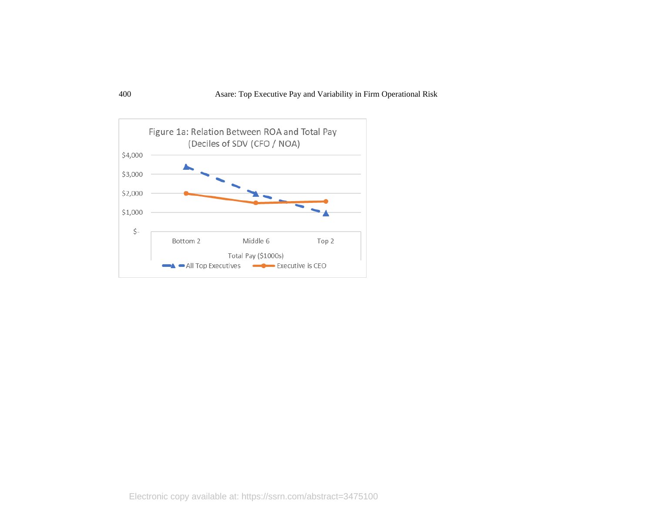

Electronic copy available at: https://ssrn.com/abstract=3475100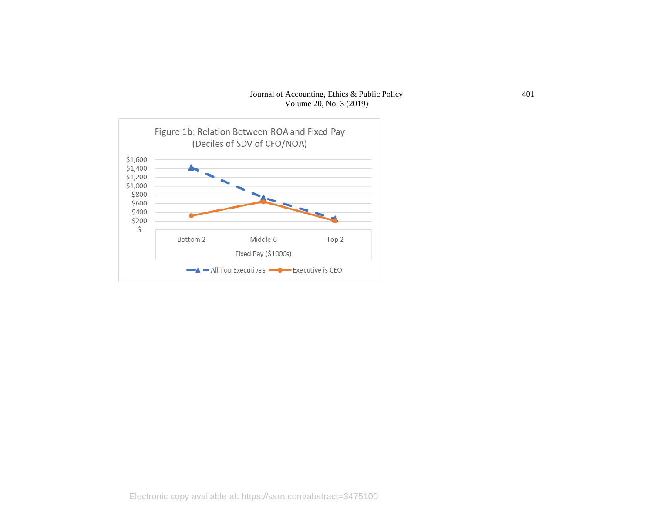#### Journal of Accounting, Ethics & Public Policy Volume 20, No. 3 (2019)

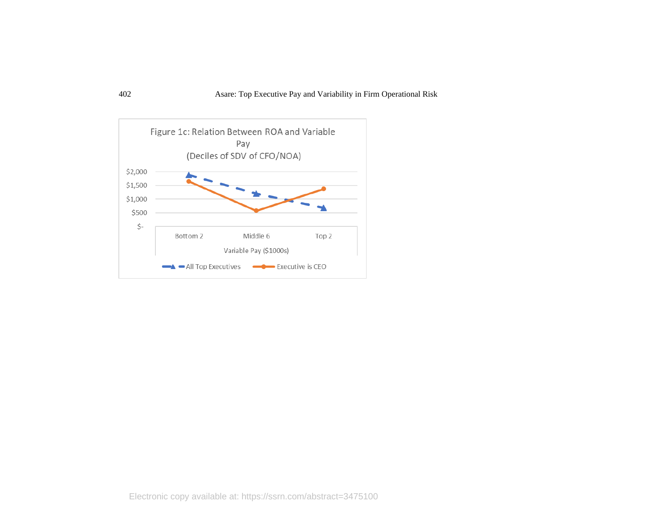

Electronic copy available at: https://ssrn.com/abstract=3475100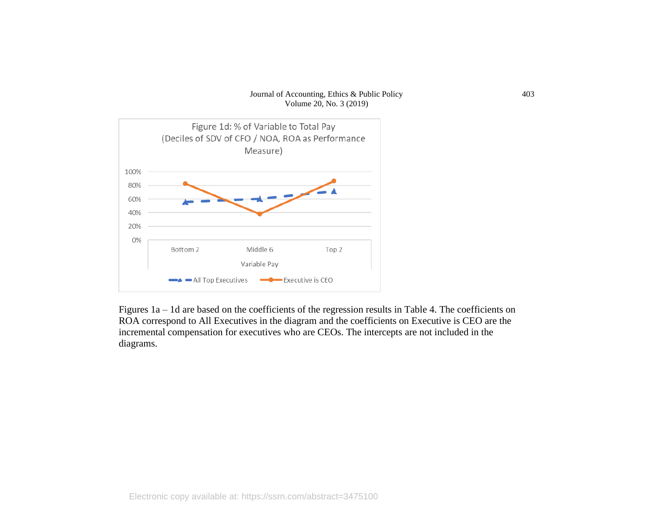#### Journal of Accounting, Ethics & Public Policy Volume 20, No. 3 (2019)



Figures 1a – 1d are based on the coefficients of the regression results in Table 4. The coefficients on ROA correspond to All Executives in the diagram and the coefficients on Executive is CEO are the incremental compensation for executives who are CEOs. The intercepts are not included in the diagrams.

403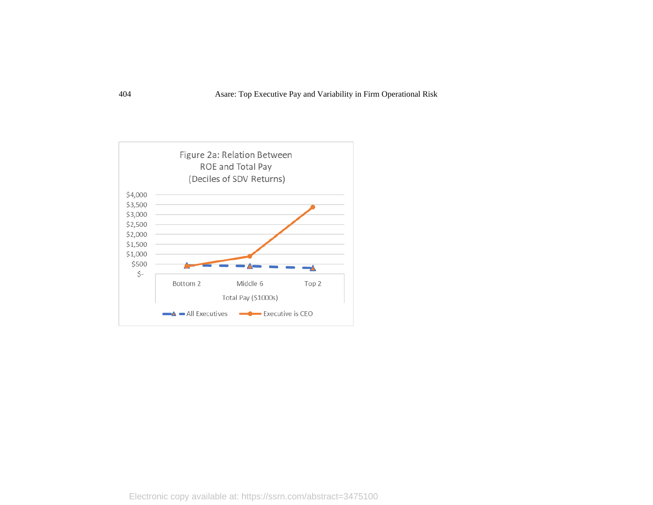

Electronic copy available at: https://ssrn.com/abstract=3475100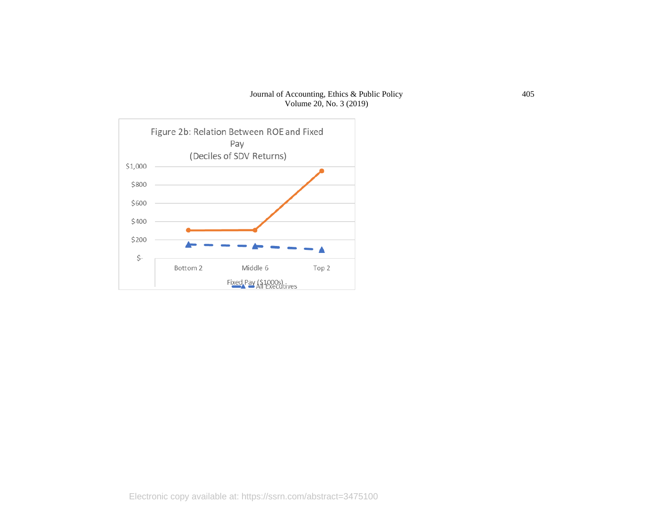#### Journal of Accounting, Ethics & Public Policy Volume 20, No. 3 (2019)

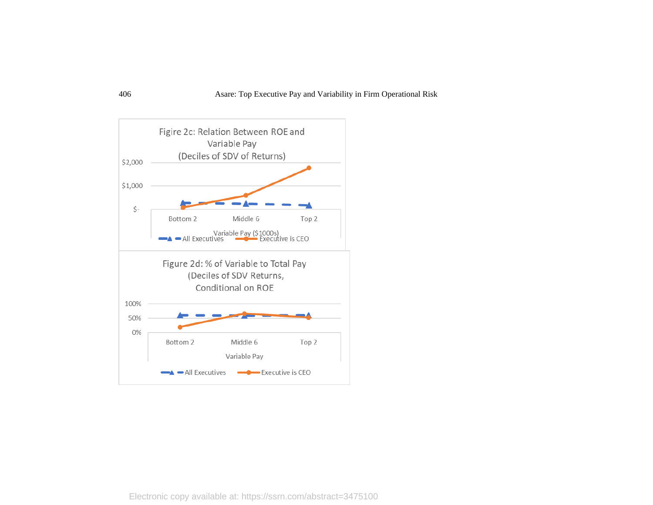

Electronic copy available at: https://ssrn.com/abstract=3475100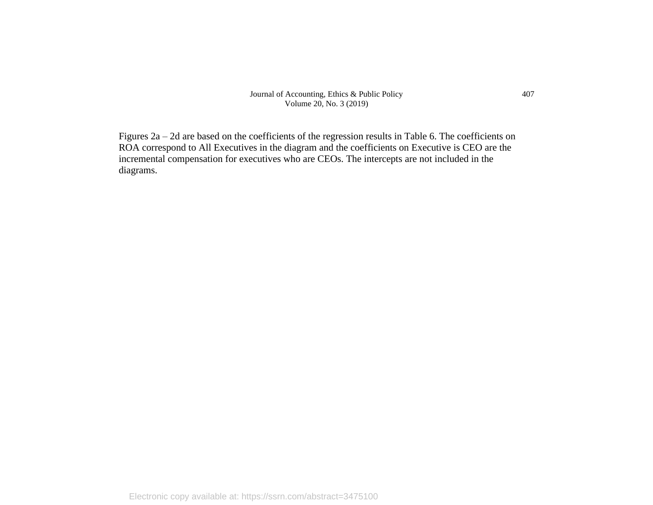Journal of Accounting, Ethics & Public Policy Volume 20, No. 3 (2019)

Figures 2a – 2d are based on the coefficients of the regression results in Table 6. The coefficients on ROA correspond to All Executives in the diagram and the coefficients on Executive is CEO are the incremental compensation for executives who are CEOs. The intercepts are not included in the diagrams.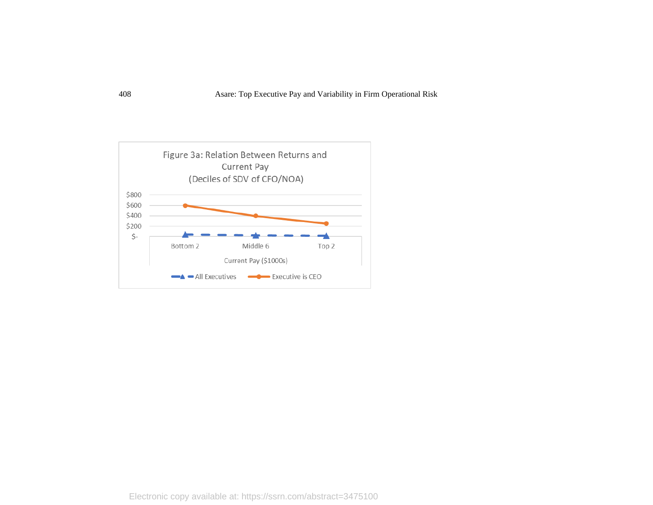

Electronic copy available at: https://ssrn.com/abstract=3475100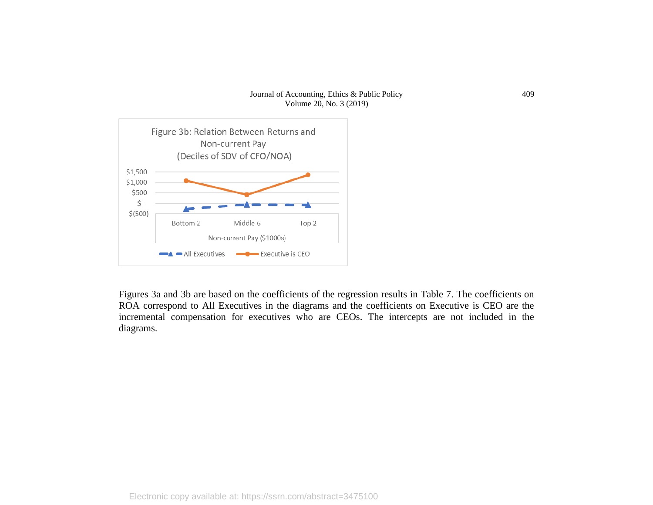#### Journal of Accounting, Ethics & Public Policy Volume 20, No. 3 (2019)



Figures 3a and 3b are based on the coefficients of the regression results in Table 7. The coefficients on ROA correspond to All Executives in the diagrams and the coefficients on Executive is CEO are the incremental compensation for executives who are CEOs. The intercepts are not included in the diagrams.